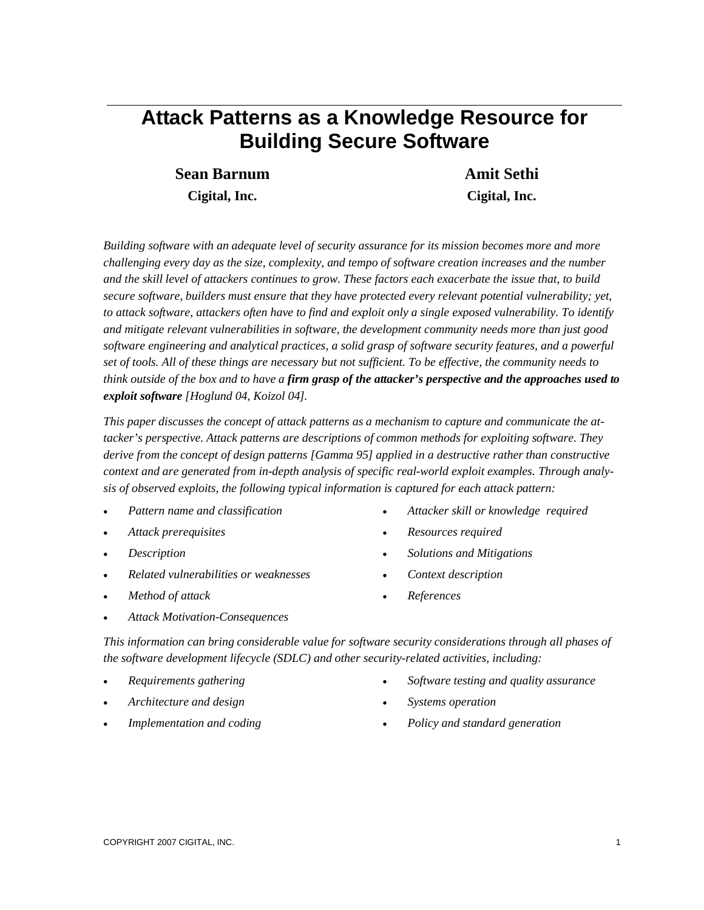# **Attack Patterns as a Knowledge Resource for Building Secure Software**

**Sean Barnum Cigital, Inc.**

**Amit Sethi Cigital, Inc.**

*Building software with an adequate level of security assurance for its mission becomes more and more challenging every day as the size, complexity, and tempo of software creation increases and the number and the skill level of attackers continues to grow. These factors each exacerbate the issue that, to build secure software, builders must ensure that they have protected every relevant potential vulnerability; yet, to attack software, attackers often have to find and exploit only a single exposed vulnerability. To identify and mitigate relevant vulnerabilities in software, the development community needs more than just good software engineering and analytical practices, a solid grasp of software security features, and a powerful set of tools. All of these things are necessary but not sufficient. To be effective, the community needs to think outside of the box and to have a firm grasp of the attacker's perspective and the approaches used to exploit software [Hoglund 04, Koizol 04].*

*This paper discusses the concept of attack patterns as a mechanism to capture and communicate the attacker's perspective. Attack patterns are descriptions of common methods for exploiting software. They derive from the concept of design patterns [Gamma 95] applied in a destructive rather than constructive context and are generated from in-depth analysis of specific real-world exploit examples. Through analysis of observed exploits, the following typical information is captured for each attack pattern:* 

- *Pattern name and classification*
- *Attack prerequisites*
- *Description*
- *Related vulnerabilities or weaknesses*
- *Method of attack*
- *Attacker skill or knowledge required*
- *Resources required*
- *Solutions and Mitigations*
- *Context description*
- *References*

*Attack Motivation-Consequences*

*This information can bring considerable value for software security considerations through all phases of the software development lifecycle (SDLC) and other security-related activities, including:*

- *Requirements gathering*
- *Architecture and design*
- *Implementation and coding*
- *Software testing and quality assurance*
- *Systems operation*
- *Policy and standard generation*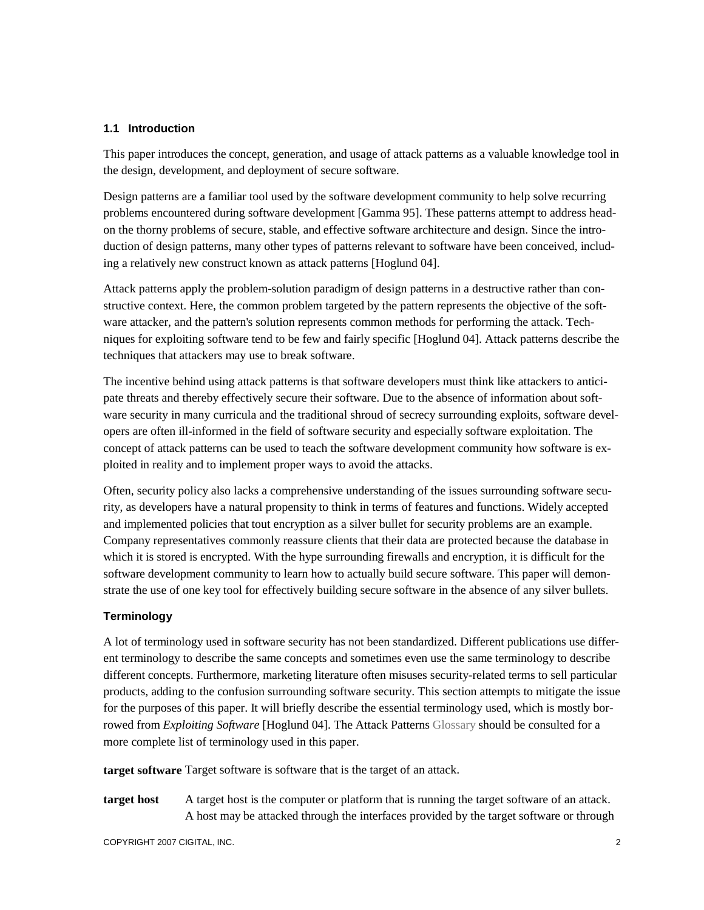## **1.1 Introduction**

This paper introduces the concept, generation, and usage of attack patterns as a valuable knowledge tool in the design, development, and deployment of secure software.

Design patterns are a familiar tool used by the software development community to help solve recurring problems encountered during software development [Gamma 95]. These patterns attempt to address headon the thorny problems of secure, stable, and effective software architecture and design. Since the introduction of design patterns, many other types of patterns relevant to software have been conceived, including a relatively new construct known as attack patterns [Hoglund 04].

Attack patterns apply the problem-solution paradigm of design patterns in a destructive rather than constructive context. Here, the common problem targeted by the pattern represents the objective of the software attacker, and the pattern's solution represents common methods for performing the attack. Techniques for exploiting software tend to be few and fairly specific [Hoglund 04]. Attack patterns describe the techniques that attackers may use to break software.

The incentive behind using attack patterns is that software developers must think like attackers to anticipate threats and thereby effectively secure their software. Due to the absence of information about software security in many curricula and the traditional shroud of secrecy surrounding exploits, software developers are often ill-informed in the field of software security and especially software exploitation. The concept of attack patterns can be used to teach the software development community how software is exploited in reality and to implement proper ways to avoid the attacks.

Often, security policy also lacks a comprehensive understanding of the issues surrounding software security, as developers have a natural propensity to think in terms of features and functions. Widely accepted and implemented policies that tout encryption as a silver bullet for security problems are an example. Company representatives commonly reassure clients that their data are protected because the database in which it is stored is encrypted. With the hype surrounding firewalls and encryption, it is difficult for the software development community to learn how to actually build secure software. This paper will demonstrate the use of one key tool for effectively building secure software in the absence of any silver bullets.

## **Terminology**

A lot of terminology used in software security has not been standardized. Different publications use different terminology to describe the same concepts and sometimes even use the same terminology to describe different concepts. Furthermore, marketing literature often misuses security-related terms to sell particular products, adding to the confusion surrounding software security. This section attempts to mitigate the issue for the purposes of this paper. It will briefly describe the essential terminology used, which is mostly borrowed from *Exploiting Software* [Hoglund 04]. The Attack Patterns Glossary should be consulted for a more complete list of terminology used in this paper.

**target software** Target software is software that is the target of an attack.

**target host** A target host is the computer or platform that is running the target software of an attack. A host may be attacked through the interfaces provided by the target software or through

COPYRIGHT 2007 CIGITAL, INC. 2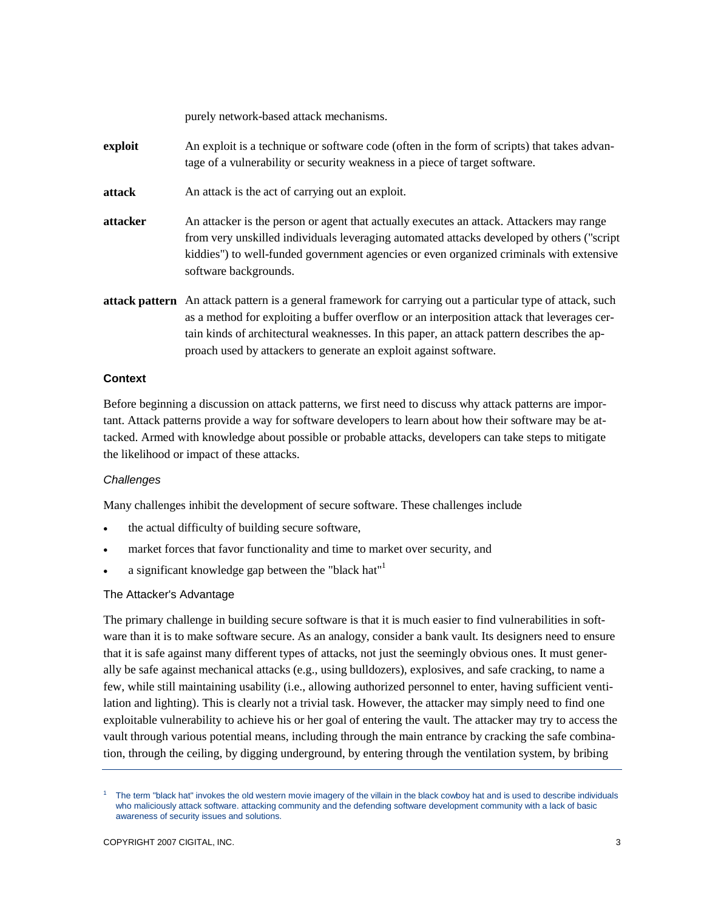purely network-based attack mechanisms.

- **exploit** An exploit is a technique or software code (often in the form of scripts) that takes advantage of a vulnerability or security weakness in a piece of target software.
- **attack** An attack is the act of carrying out an exploit.
- **attacker** An attacker is the person or agent that actually executes an attack. Attackers may range from very unskilled individuals leveraging automated attacks developed by others ("script kiddies") to well-funded government agencies or even organized criminals with extensive software backgrounds.
- **attack pattern** An attack pattern is a general framework for carrying out a particular type of attack, such as a method for exploiting a buffer overflow or an interposition attack that leverages certain kinds of architectural weaknesses. In this paper, an attack pattern describes the approach used by attackers to generate an exploit against software.

## **Context**

Before beginning a discussion on attack patterns, we first need to discuss why attack patterns are important. Attack patterns provide a way for software developers to learn about how their software may be attacked. Armed with knowledge about possible or probable attacks, developers can take steps to mitigate the likelihood or impact of these attacks.

## *Challenges*

Many challenges inhibit the development of secure software. These challenges include

- the actual difficulty of building secure software,
- market forces that favor functionality and time to market over security, and
- a significant knowledge gap between the "black hat"1

# The Attacker's Advantage

The primary challenge in building secure software is that it is much easier to find vulnerabilities in software than it is to make software secure. As an analogy, consider a bank vault. Its designers need to ensure that it is safe against many different types of attacks, not just the seemingly obvious ones. It must generally be safe against mechanical attacks (e.g., using bulldozers), explosives, and safe cracking, to name a few, while still maintaining usability (i.e., allowing authorized personnel to enter, having sufficient ventilation and lighting). This is clearly not a trivial task. However, the attacker may simply need to find one exploitable vulnerability to achieve his or her goal of entering the vault. The attacker may try to access the vault through various potential means, including through the main entrance by cracking the safe combination, through the ceiling, by digging underground, by entering through the ventilation system, by bribing

<sup>1</sup> The term "black hat" invokes the old western movie imagery of the villain in the black cowboy hat and is used to describe individuals who maliciously attack software. attacking community and the defending software development community with a lack of basic awareness of security issues and solutions.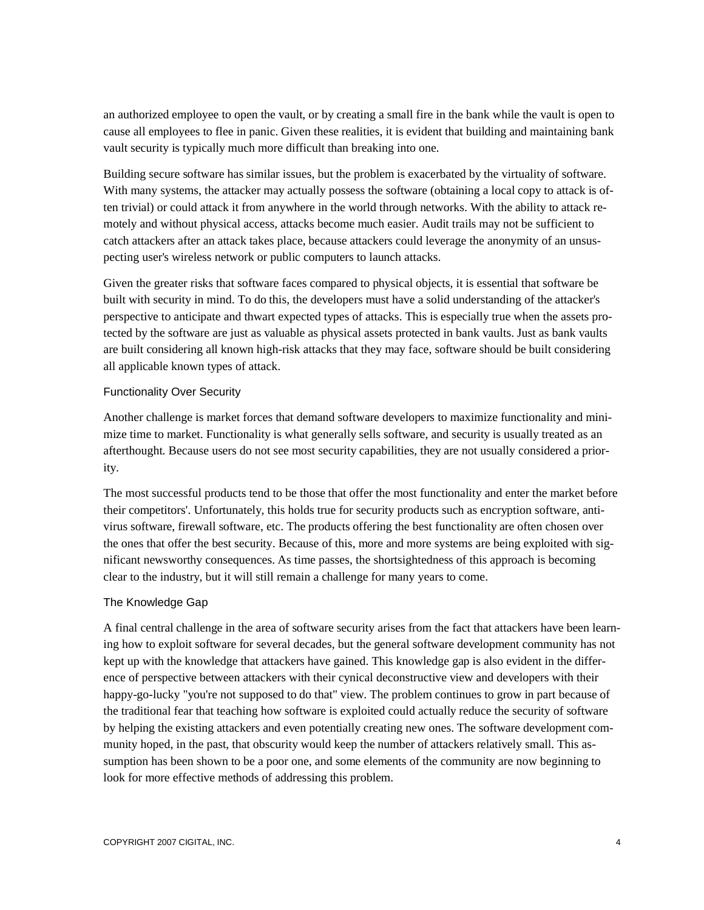an authorized employee to open the vault, or by creating a small fire in the bank while the vault is open to cause all employees to flee in panic. Given these realities, it is evident that building and maintaining bank vault security is typically much more difficult than breaking into one.

Building secure software has similar issues, but the problem is exacerbated by the virtuality of software. With many systems, the attacker may actually possess the software (obtaining a local copy to attack is often trivial) or could attack it from anywhere in the world through networks. With the ability to attack remotely and without physical access, attacks become much easier. Audit trails may not be sufficient to catch attackers after an attack takes place, because attackers could leverage the anonymity of an unsuspecting user's wireless network or public computers to launch attacks.

Given the greater risks that software faces compared to physical objects, it is essential that software be built with security in mind. To do this, the developers must have a solid understanding of the attacker's perspective to anticipate and thwart expected types of attacks. This is especially true when the assets protected by the software are just as valuable as physical assets protected in bank vaults. Just as bank vaults are built considering all known high-risk attacks that they may face, software should be built considering all applicable known types of attack.

## Functionality Over Security

Another challenge is market forces that demand software developers to maximize functionality and minimize time to market. Functionality is what generally sells software, and security is usually treated as an afterthought. Because users do not see most security capabilities, they are not usually considered a priority.

The most successful products tend to be those that offer the most functionality and enter the market before their competitors'. Unfortunately, this holds true for security products such as encryption software, antivirus software, firewall software, etc. The products offering the best functionality are often chosen over the ones that offer the best security. Because of this, more and more systems are being exploited with significant newsworthy consequences. As time passes, the shortsightedness of this approach is becoming clear to the industry, but it will still remain a challenge for many years to come.

# The Knowledge Gap

A final central challenge in the area of software security arises from the fact that attackers have been learning how to exploit software for several decades, but the general software development community has not kept up with the knowledge that attackers have gained. This knowledge gap is also evident in the difference of perspective between attackers with their cynical deconstructive view and developers with their happy-go-lucky "you're not supposed to do that" view. The problem continues to grow in part because of the traditional fear that teaching how software is exploited could actually reduce the security of software by helping the existing attackers and even potentially creating new ones. The software development community hoped, in the past, that obscurity would keep the number of attackers relatively small. This assumption has been shown to be a poor one, and some elements of the community are now beginning to look for more effective methods of addressing this problem.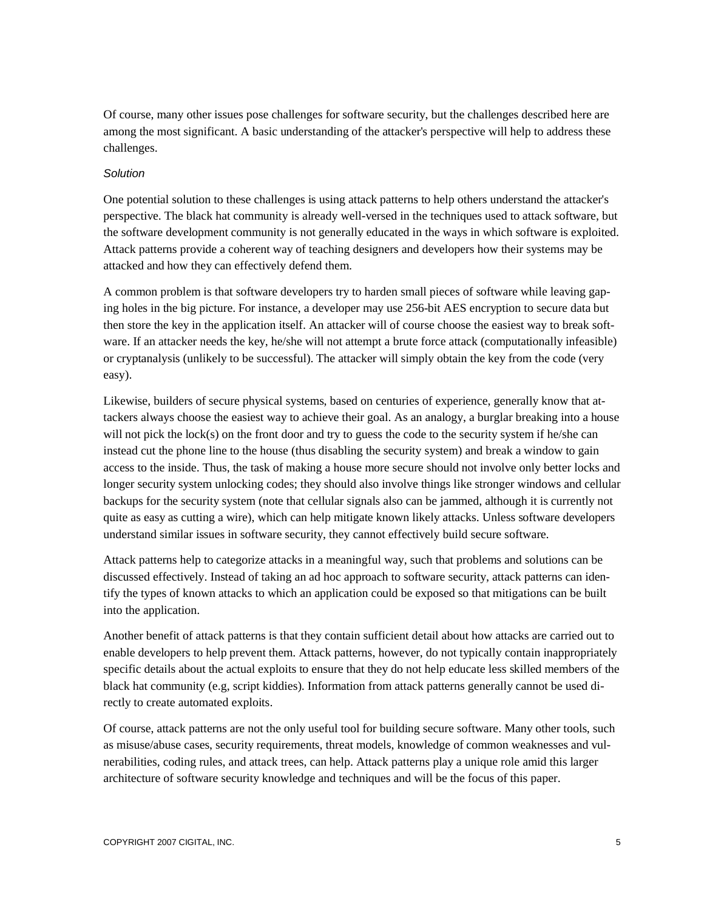Of course, many other issues pose challenges for software security, but the challenges described here are among the most significant. A basic understanding of the attacker's perspective will help to address these challenges.

## *Solution*

One potential solution to these challenges is using attack patterns to help others understand the attacker's perspective. The black hat community is already well-versed in the techniques used to attack software, but the software development community is not generally educated in the ways in which software is exploited. Attack patterns provide a coherent way of teaching designers and developers how their systems may be attacked and how they can effectively defend them.

A common problem is that software developers try to harden small pieces of software while leaving gaping holes in the big picture. For instance, a developer may use 256-bit AES encryption to secure data but then store the key in the application itself. An attacker will of course choose the easiest way to break software. If an attacker needs the key, he/she will not attempt a brute force attack (computationally infeasible) or cryptanalysis (unlikely to be successful). The attacker will simply obtain the key from the code (very easy).

Likewise, builders of secure physical systems, based on centuries of experience, generally know that attackers always choose the easiest way to achieve their goal. As an analogy, a burglar breaking into a house will not pick the lock(s) on the front door and try to guess the code to the security system if he/she can instead cut the phone line to the house (thus disabling the security system) and break a window to gain access to the inside. Thus, the task of making a house more secure should not involve only better locks and longer security system unlocking codes; they should also involve things like stronger windows and cellular backups for the security system (note that cellular signals also can be jammed, although it is currently not quite as easy as cutting a wire), which can help mitigate known likely attacks. Unless software developers understand similar issues in software security, they cannot effectively build secure software.

Attack patterns help to categorize attacks in a meaningful way, such that problems and solutions can be discussed effectively. Instead of taking an ad hoc approach to software security, attack patterns can identify the types of known attacks to which an application could be exposed so that mitigations can be built into the application.

Another benefit of attack patterns is that they contain sufficient detail about how attacks are carried out to enable developers to help prevent them. Attack patterns, however, do not typically contain inappropriately specific details about the actual exploits to ensure that they do not help educate less skilled members of the black hat community (e.g, script kiddies). Information from attack patterns generally cannot be used directly to create automated exploits.

Of course, attack patterns are not the only useful tool for building secure software. Many other tools, such as misuse/abuse cases, security requirements, threat models, knowledge of common weaknesses and vulnerabilities, coding rules, and attack trees, can help. Attack patterns play a unique role amid this larger architecture of software security knowledge and techniques and will be the focus of this paper.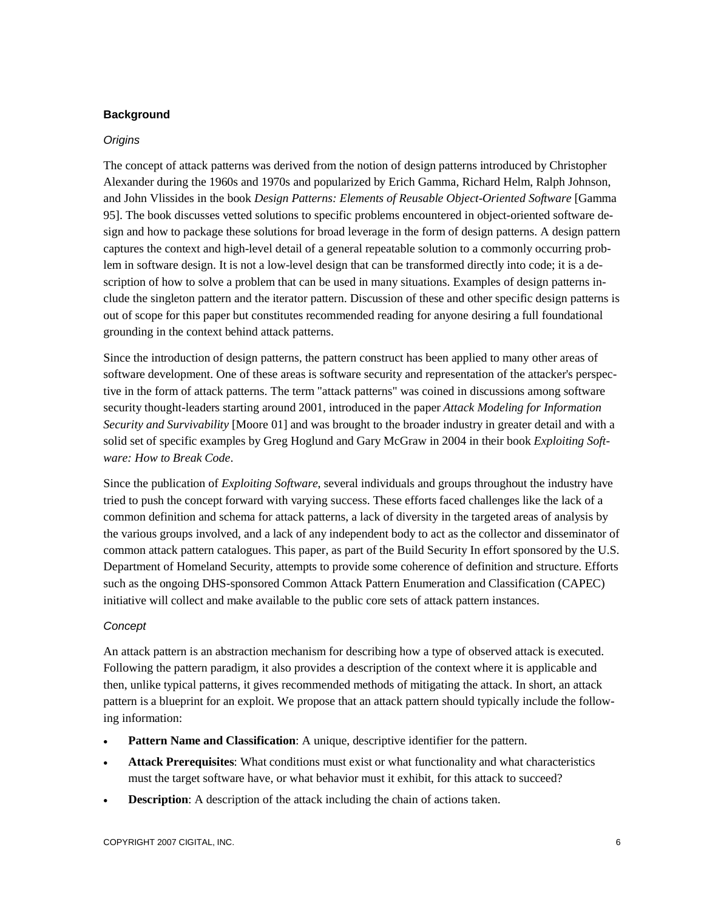## **Background**

## *Origins*

The concept of attack patterns was derived from the notion of design patterns introduced by Christopher Alexander during the 1960s and 1970s and popularized by Erich Gamma, Richard Helm, Ralph Johnson, and John Vlissides in the book *Design Patterns: Elements of Reusable Object-Oriented Software* [Gamma 95]. The book discusses vetted solutions to specific problems encountered in object-oriented software design and how to package these solutions for broad leverage in the form of design patterns. A design pattern captures the context and high-level detail of a general repeatable solution to a commonly occurring problem in software design. It is not a low-level design that can be transformed directly into code; it is a description of how to solve a problem that can be used in many situations. Examples of design patterns include the singleton pattern and the iterator pattern. Discussion of these and other specific design patterns is out of scope for this paper but constitutes recommended reading for anyone desiring a full foundational grounding in the context behind attack patterns.

Since the introduction of design patterns, the pattern construct has been applied to many other areas of software development. One of these areas is software security and representation of the attacker's perspective in the form of attack patterns. The term "attack patterns" was coined in discussions among software security thought-leaders starting around 2001, introduced in the paper *Attack Modeling for Information Security and Survivability* [Moore 01] and was brought to the broader industry in greater detail and with a solid set of specific examples by Greg Hoglund and Gary McGraw in 2004 in their book *Exploiting Software: How to Break Code*.

Since the publication of *Exploiting Software*, several individuals and groups throughout the industry have tried to push the concept forward with varying success. These efforts faced challenges like the lack of a common definition and schema for attack patterns, a lack of diversity in the targeted areas of analysis by the various groups involved, and a lack of any independent body to act as the collector and disseminator of common attack pattern catalogues. This paper, as part of the Build Security In effort sponsored by the U.S. Department of Homeland Security, attempts to provide some coherence of definition and structure. Efforts such as the ongoing DHS-sponsored Common Attack Pattern Enumeration and Classification (CAPEC) initiative will collect and make available to the public core sets of attack pattern instances.

## *Concept*

An attack pattern is an abstraction mechanism for describing how a type of observed attack is executed. Following the pattern paradigm, it also provides a description of the context where it is applicable and then, unlike typical patterns, it gives recommended methods of mitigating the attack. In short, an attack pattern is a blueprint for an exploit. We propose that an attack pattern should typically include the following information:

- **Pattern Name and Classification**: A unique, descriptive identifier for the pattern.
- **Attack Prerequisites**: What conditions must exist or what functionality and what characteristics must the target software have, or what behavior must it exhibit, for this attack to succeed?
- **Description:** A description of the attack including the chain of actions taken.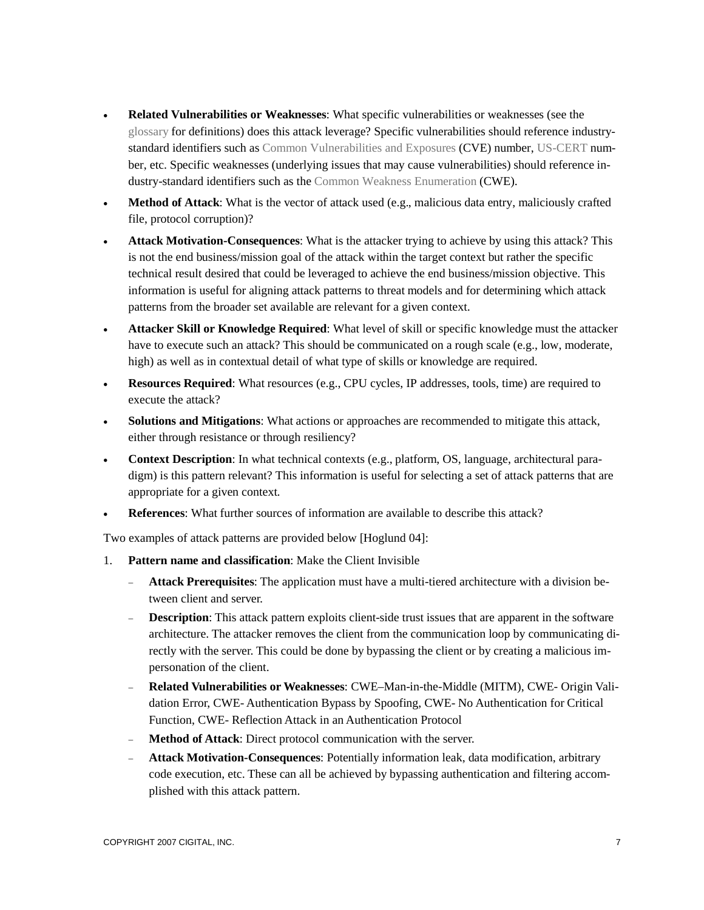- **Related Vulnerabilities or Weaknesses**: What specific vulnerabilities or weaknesses (see the glossary for definitions) does this attack leverage? Specific vulnerabilities should reference industrystandard identifiers such as Common Vulnerabilities and Exposures (CVE) number, US-CERT number, etc. Specific weaknesses (underlying issues that may cause vulnerabilities) should reference industry-standard identifiers such as the Common Weakness Enumeration (CWE).
- **Method of Attack**: What is the vector of attack used (e.g., malicious data entry, maliciously crafted file, protocol corruption)?
- **Attack Motivation-Consequences**: What is the attacker trying to achieve by using this attack? This is not the end business/mission goal of the attack within the target context but rather the specific technical result desired that could be leveraged to achieve the end business/mission objective. This information is useful for aligning attack patterns to threat models and for determining which attack patterns from the broader set available are relevant for a given context.
- **Attacker Skill or Knowledge Required**: What level of skill or specific knowledge must the attacker have to execute such an attack? This should be communicated on a rough scale (e.g., low, moderate, high) as well as in contextual detail of what type of skills or knowledge are required.
- **Resources Required:** What resources (e.g., CPU cycles, IP addresses, tools, time) are required to execute the attack?
- **Solutions and Mitigations**: What actions or approaches are recommended to mitigate this attack, either through resistance or through resiliency?
- **Context Description**: In what technical contexts (e.g., platform, OS, language, architectural paradigm) is this pattern relevant? This information is useful for selecting a set of attack patterns that are appropriate for a given context.
- **References**: What further sources of information are available to describe this attack?

Two examples of attack patterns are provided below [Hoglund 04]:

- 1. **Pattern name and classification**: Make the Client Invisible
	- **Attack Prerequisites**: The application must have a multi-tiered architecture with a division between client and server.
	- **Description**: This attack pattern exploits client-side trust issues that are apparent in the software architecture. The attacker removes the client from the communication loop by communicating directly with the server. This could be done by bypassing the client or by creating a malicious impersonation of the client.
	- **Related Vulnerabilities or Weaknesses**: CWE–Man-in-the-Middle (MITM), CWE- Origin Validation Error, CWE- Authentication Bypass by Spoofing, CWE- No Authentication for Critical Function, CWE- Reflection Attack in an Authentication Protocol
	- **Method of Attack**: Direct protocol communication with the server.
	- **Attack Motivation-Consequences**: Potentially information leak, data modification, arbitrary code execution, etc. These can all be achieved by bypassing authentication and filtering accomplished with this attack pattern.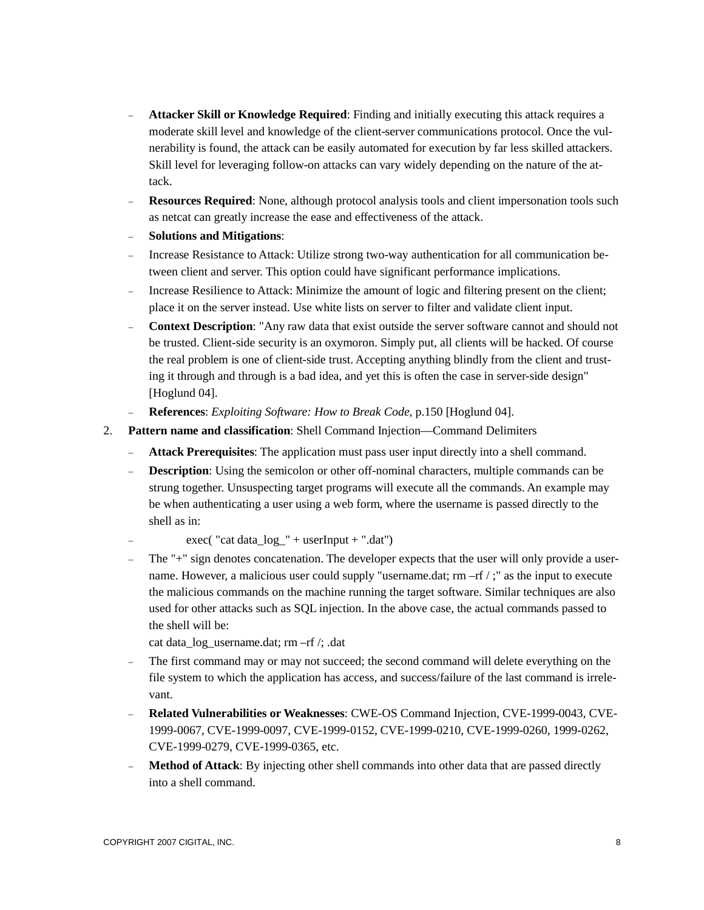- **Attacker Skill or Knowledge Required**: Finding and initially executing this attack requires a moderate skill level and knowledge of the client-server communications protocol. Once the vulnerability is found, the attack can be easily automated for execution by far less skilled attackers. Skill level for leveraging follow-on attacks can vary widely depending on the nature of the attack.
- **Resources Required**: None, although protocol analysis tools and client impersonation tools such as netcat can greatly increase the ease and effectiveness of the attack.
- **Solutions and Mitigations**:
- Increase Resistance to Attack: Utilize strong two-way authentication for all communication between client and server. This option could have significant performance implications.
- Increase Resilience to Attack: Minimize the amount of logic and filtering present on the client; place it on the server instead. Use white lists on server to filter and validate client input.
- **Context Description**: "Any raw data that exist outside the server software cannot and should not be trusted. Client-side security is an oxymoron. Simply put, all clients will be hacked. Of course the real problem is one of client-side trust. Accepting anything blindly from the client and trusting it through and through is a bad idea, and yet this is often the case in server-side design" [Hoglund 04].
- **References**: *Exploiting Software: How to Break Code*, p.150 [Hoglund 04].
- 2. **Pattern name and classification**: Shell Command Injection—Command Delimiters
	- **Attack Prerequisites**: The application must pass user input directly into a shell command.
	- **Description**: Using the semicolon or other off-nominal characters, multiple commands can be strung together. Unsuspecting target programs will execute all the commands. An example may be when authenticating a user using a web form, where the username is passed directly to the shell as in:
		- $exec("cat data_log" + userInput + ".dat")$
	- The "+" sign denotes concatenation. The developer expects that the user will only provide a username. However, a malicious user could supply "username.dat; rm –rf /;" as the input to execute the malicious commands on the machine running the target software. Similar techniques are also used for other attacks such as SQL injection. In the above case, the actual commands passed to the shell will be:
		- cat data\_log\_username.dat; rm –rf /; .dat
	- The first command may or may not succeed; the second command will delete everything on the file system to which the application has access, and success/failure of the last command is irrelevant.
	- **Related Vulnerabilities or Weaknesses**: CWE-OS Command Injection, CVE-1999-0043, CVE-1999-0067, CVE-1999-0097, CVE-1999-0152, CVE-1999-0210, CVE-1999-0260, 1999-0262, CVE-1999-0279, CVE-1999-0365, etc.
	- **Method of Attack**: By injecting other shell commands into other data that are passed directly into a shell command.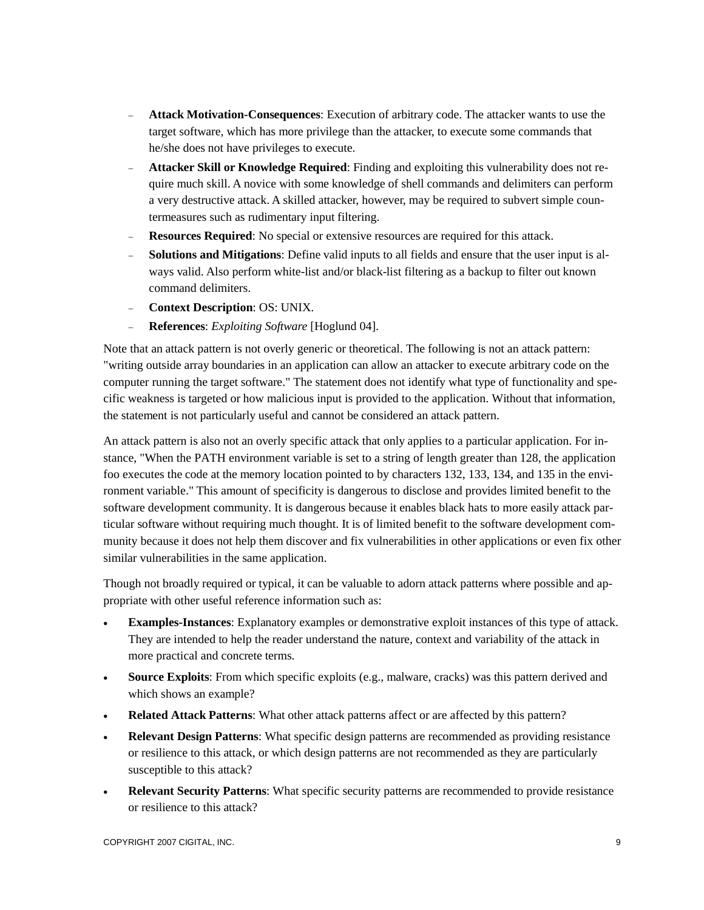- **Attack Motivation-Consequences**: Execution of arbitrary code. The attacker wants to use the target software, which has more privilege than the attacker, to execute some commands that he/she does not have privileges to execute.
- **Attacker Skill or Knowledge Required**: Finding and exploiting this vulnerability does not require much skill. A novice with some knowledge of shell commands and delimiters can perform a very destructive attack. A skilled attacker, however, may be required to subvert simple countermeasures such as rudimentary input filtering.
- **Resources Required**: No special or extensive resources are required for this attack.
- **Solutions and Mitigations**: Define valid inputs to all fields and ensure that the user input is always valid. Also perform white-list and/or black-list filtering as a backup to filter out known command delimiters.
- **Context Description**: OS: UNIX.
- **References**: *Exploiting Software* [Hoglund 04].

Note that an attack pattern is not overly generic or theoretical. The following is not an attack pattern: "writing outside array boundaries in an application can allow an attacker to execute arbitrary code on the computer running the target software." The statement does not identify what type of functionality and specific weakness is targeted or how malicious input is provided to the application. Without that information, the statement is not particularly useful and cannot be considered an attack pattern.

An attack pattern is also not an overly specific attack that only applies to a particular application. For instance, "When the PATH environment variable is set to a string of length greater than 128, the application foo executes the code at the memory location pointed to by characters 132, 133, 134, and 135 in the environment variable." This amount of specificity is dangerous to disclose and provides limited benefit to the software development community. It is dangerous because it enables black hats to more easily attack particular software without requiring much thought. It is of limited benefit to the software development community because it does not help them discover and fix vulnerabilities in other applications or even fix other similar vulnerabilities in the same application.

Though not broadly required or typical, it can be valuable to adorn attack patterns where possible and appropriate with other useful reference information such as:

- **Examples-Instances**: Explanatory examples or demonstrative exploit instances of this type of attack. They are intended to help the reader understand the nature, context and variability of the attack in more practical and concrete terms.
- **Source Exploits**: From which specific exploits (e.g., malware, cracks) was this pattern derived and which shows an example?
- **Related Attack Patterns**: What other attack patterns affect or are affected by this pattern?
- **Relevant Design Patterns**: What specific design patterns are recommended as providing resistance or resilience to this attack, or which design patterns are not recommended as they are particularly susceptible to this attack?
- **Relevant Security Patterns**: What specific security patterns are recommended to provide resistance or resilience to this attack?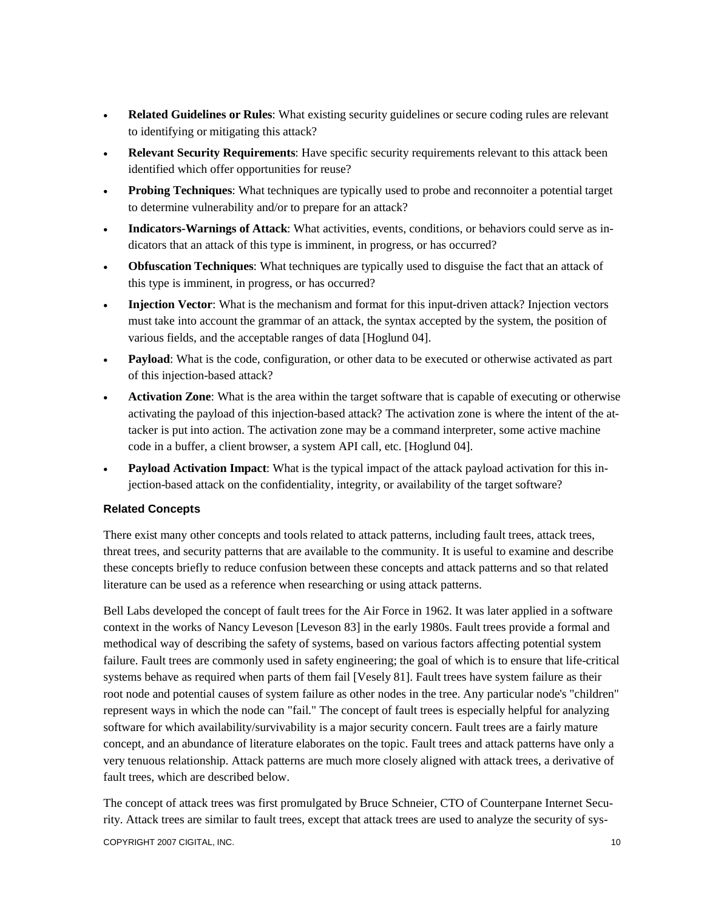- **Related Guidelines or Rules**: What existing security guidelines or secure coding rules are relevant to identifying or mitigating this attack?
- **Relevant Security Requirements**: Have specific security requirements relevant to this attack been identified which offer opportunities for reuse?
- **Probing Techniques**: What techniques are typically used to probe and reconnoiter a potential target to determine vulnerability and/or to prepare for an attack?
- **Indicators-Warnings of Attack**: What activities, events, conditions, or behaviors could serve as indicators that an attack of this type is imminent, in progress, or has occurred?
- **Obfuscation Techniques**: What techniques are typically used to disguise the fact that an attack of this type is imminent, in progress, or has occurred?
- **Injection Vector**: What is the mechanism and format for this input-driven attack? Injection vectors must take into account the grammar of an attack, the syntax accepted by the system, the position of various fields, and the acceptable ranges of data [Hoglund 04].
- **Payload**: What is the code, configuration, or other data to be executed or otherwise activated as part of this injection-based attack?
- **Activation Zone**: What is the area within the target software that is capable of executing or otherwise activating the payload of this injection-based attack? The activation zone is where the intent of the attacker is put into action. The activation zone may be a command interpreter, some active machine code in a buffer, a client browser, a system API call, etc. [Hoglund 04].
- **Payload Activation Impact**: What is the typical impact of the attack payload activation for this injection-based attack on the confidentiality, integrity, or availability of the target software?

# **Related Concepts**

There exist many other concepts and tools related to attack patterns, including fault trees, attack trees, threat trees, and security patterns that are available to the community. It is useful to examine and describe these concepts briefly to reduce confusion between these concepts and attack patterns and so that related literature can be used as a reference when researching or using attack patterns.

Bell Labs developed the concept of fault trees for the Air Force in 1962. It was later applied in a software context in the works of Nancy Leveson [Leveson 83] in the early 1980s. Fault trees provide a formal and methodical way of describing the safety of systems, based on various factors affecting potential system failure. Fault trees are commonly used in safety engineering; the goal of which is to ensure that life-critical systems behave as required when parts of them fail [Vesely 81]. Fault trees have system failure as their root node and potential causes of system failure as other nodes in the tree. Any particular node's "children" represent ways in which the node can "fail." The concept of fault trees is especially helpful for analyzing software for which availability/survivability is a major security concern. Fault trees are a fairly mature concept, and an abundance of literature elaborates on the topic. Fault trees and attack patterns have only a very tenuous relationship. Attack patterns are much more closely aligned with attack trees, a derivative of fault trees, which are described below.

COPYRIGHT 2007 CIGITAL, INC. 10 ACCORD 2007 COPYRIGHT 2007 CIGITAL, INC. The concept of attack trees was first promulgated by Bruce Schneier, CTO of Counterpane Internet Security. Attack trees are similar to fault trees, except that attack trees are used to analyze the security of sys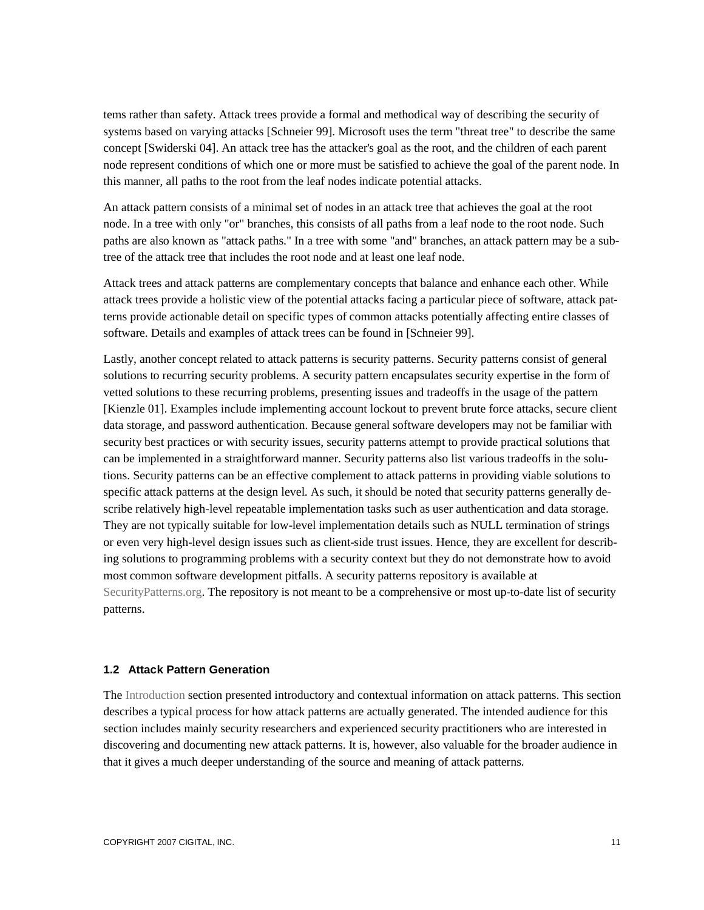tems rather than safety. Attack trees provide a formal and methodical way of describing the security of systems based on varying attacks [Schneier 99]. Microsoft uses the term "threat tree" to describe the same concept [Swiderski 04]. An attack tree has the attacker's goal as the root, and the children of each parent node represent conditions of which one or more must be satisfied to achieve the goal of the parent node. In this manner, all paths to the root from the leaf nodes indicate potential attacks.

An attack pattern consists of a minimal set of nodes in an attack tree that achieves the goal at the root node. In a tree with only "or" branches, this consists of all paths from a leaf node to the root node. Such paths are also known as "attack paths." In a tree with some "and" branches, an attack pattern may be a subtree of the attack tree that includes the root node and at least one leaf node.

Attack trees and attack patterns are complementary concepts that balance and enhance each other. While attack trees provide a holistic view of the potential attacks facing a particular piece of software, attack patterns provide actionable detail on specific types of common attacks potentially affecting entire classes of software. Details and examples of attack trees can be found in [Schneier 99].

Lastly, another concept related to attack patterns is security patterns. Security patterns consist of general solutions to recurring security problems. A security pattern encapsulates security expertise in the form of vetted solutions to these recurring problems, presenting issues and tradeoffs in the usage of the pattern [Kienzle 01]. Examples include implementing account lockout to prevent brute force attacks, secure client data storage, and password authentication. Because general software developers may not be familiar with security best practices or with security issues, security patterns attempt to provide practical solutions that can be implemented in a straightforward manner. Security patterns also list various tradeoffs in the solutions. Security patterns can be an effective complement to attack patterns in providing viable solutions to specific attack patterns at the design level. As such, it should be noted that security patterns generally describe relatively high-level repeatable implementation tasks such as user authentication and data storage. They are not typically suitable for low-level implementation details such as NULL termination of strings or even very high-level design issues such as client-side trust issues. Hence, they are excellent for describing solutions to programming problems with a security context but they do not demonstrate how to avoid most common software development pitfalls. A security patterns repository is available at SecurityPatterns.org. The repository is not meant to be a comprehensive or most up-to-date list of security patterns.

## **1.2 Attack Pattern Generation**

The Introduction section presented introductory and contextual information on attack patterns. This section describes a typical process for how attack patterns are actually generated. The intended audience for this section includes mainly security researchers and experienced security practitioners who are interested in discovering and documenting new attack patterns. It is, however, also valuable for the broader audience in that it gives a much deeper understanding of the source and meaning of attack patterns.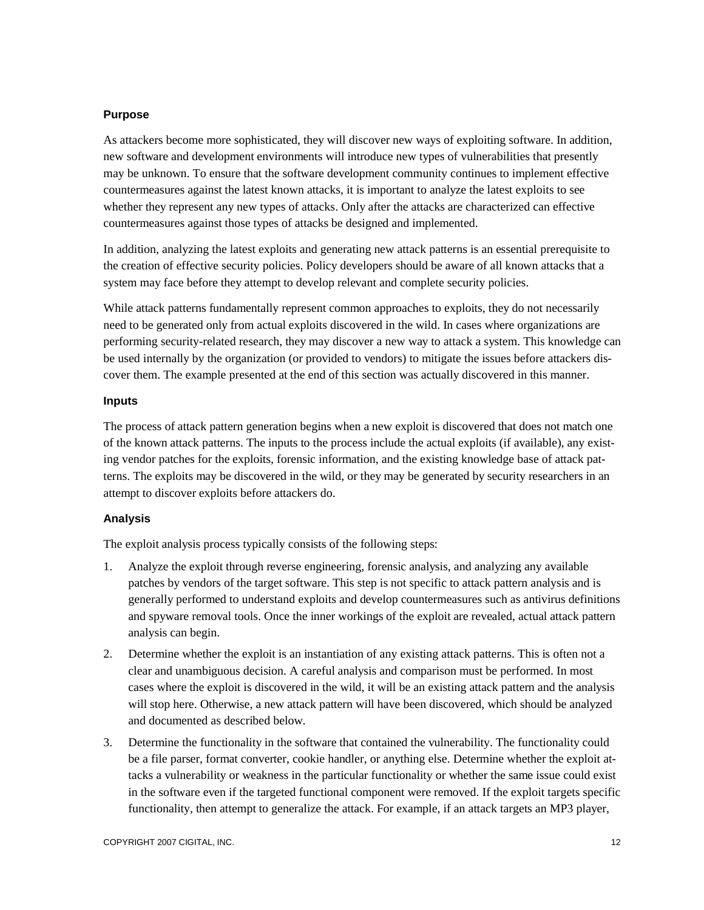## **Purpose**

As attackers become more sophisticated, they will discover new ways of exploiting software. In addition, new software and development environments will introduce new types of vulnerabilities that presently may be unknown. To ensure that the software development community continues to implement effective countermeasures against the latest known attacks, it is important to analyze the latest exploits to see whether they represent any new types of attacks. Only after the attacks are characterized can effective countermeasures against those types of attacks be designed and implemented.

In addition, analyzing the latest exploits and generating new attack patterns is an essential prerequisite to the creation of effective security policies. Policy developers should be aware of all known attacks that a system may face before they attempt to develop relevant and complete security policies.

While attack patterns fundamentally represent common approaches to exploits, they do not necessarily need to be generated only from actual exploits discovered in the wild. In cases where organizations are performing security-related research, they may discover a new way to attack a system. This knowledge can be used internally by the organization (or provided to vendors) to mitigate the issues before attackers discover them. The example presented at the end of this section was actually discovered in this manner.

## **Inputs**

The process of attack pattern generation begins when a new exploit is discovered that does not match one of the known attack patterns. The inputs to the process include the actual exploits (if available), any existing vendor patches for the exploits, forensic information, and the existing knowledge base of attack patterns. The exploits may be discovered in the wild, or they may be generated by security researchers in an attempt to discover exploits before attackers do.

# **Analysis**

The exploit analysis process typically consists of the following steps:

- 1. Analyze the exploit through reverse engineering, forensic analysis, and analyzing any available patches by vendors of the target software. This step is not specific to attack pattern analysis and is generally performed to understand exploits and develop countermeasures such as antivirus definitions and spyware removal tools. Once the inner workings of the exploit are revealed, actual attack pattern analysis can begin.
- 2. Determine whether the exploit is an instantiation of any existing attack patterns. This is often not a clear and unambiguous decision. A careful analysis and comparison must be performed. In most cases where the exploit is discovered in the wild, it will be an existing attack pattern and the analysis will stop here. Otherwise, a new attack pattern will have been discovered, which should be analyzed and documented as described below.
- 3. Determine the functionality in the software that contained the vulnerability. The functionality could be a file parser, format converter, cookie handler, or anything else. Determine whether the exploit attacks a vulnerability or weakness in the particular functionality or whether the same issue could exist in the software even if the targeted functional component were removed. If the exploit targets specific functionality, then attempt to generalize the attack. For example, if an attack targets an MP3 player,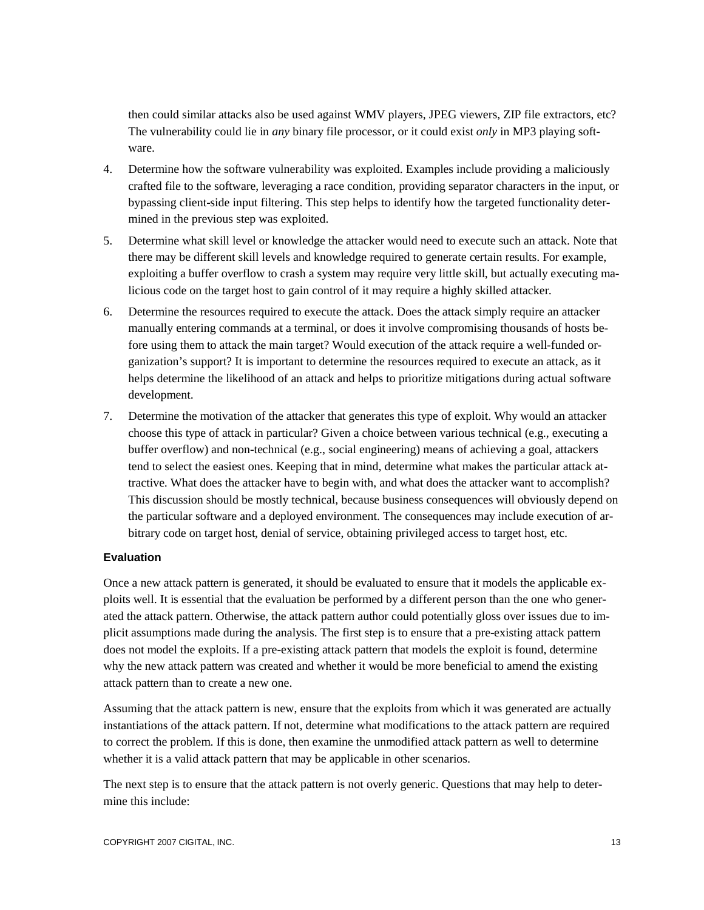then could similar attacks also be used against WMV players, JPEG viewers, ZIP file extractors, etc? The vulnerability could lie in *any* binary file processor, or it could exist *only* in MP3 playing software.

- 4. Determine how the software vulnerability was exploited. Examples include providing a maliciously crafted file to the software, leveraging a race condition, providing separator characters in the input, or bypassing client-side input filtering. This step helps to identify how the targeted functionality determined in the previous step was exploited.
- 5. Determine what skill level or knowledge the attacker would need to execute such an attack. Note that there may be different skill levels and knowledge required to generate certain results. For example, exploiting a buffer overflow to crash a system may require very little skill, but actually executing malicious code on the target host to gain control of it may require a highly skilled attacker.
- 6. Determine the resources required to execute the attack. Does the attack simply require an attacker manually entering commands at a terminal, or does it involve compromising thousands of hosts before using them to attack the main target? Would execution of the attack require a well-funded organization's support? It is important to determine the resources required to execute an attack, as it helps determine the likelihood of an attack and helps to prioritize mitigations during actual software development.
- 7. Determine the motivation of the attacker that generates this type of exploit. Why would an attacker choose this type of attack in particular? Given a choice between various technical (e.g., executing a buffer overflow) and non-technical (e.g., social engineering) means of achieving a goal, attackers tend to select the easiest ones. Keeping that in mind, determine what makes the particular attack attractive. What does the attacker have to begin with, and what does the attacker want to accomplish? This discussion should be mostly technical, because business consequences will obviously depend on the particular software and a deployed environment. The consequences may include execution of arbitrary code on target host, denial of service, obtaining privileged access to target host, etc.

## **Evaluation**

Once a new attack pattern is generated, it should be evaluated to ensure that it models the applicable exploits well. It is essential that the evaluation be performed by a different person than the one who generated the attack pattern. Otherwise, the attack pattern author could potentially gloss over issues due to implicit assumptions made during the analysis. The first step is to ensure that a pre-existing attack pattern does not model the exploits. If a pre-existing attack pattern that models the exploit is found, determine why the new attack pattern was created and whether it would be more beneficial to amend the existing attack pattern than to create a new one.

Assuming that the attack pattern is new, ensure that the exploits from which it was generated are actually instantiations of the attack pattern. If not, determine what modifications to the attack pattern are required to correct the problem. If this is done, then examine the unmodified attack pattern as well to determine whether it is a valid attack pattern that may be applicable in other scenarios.

The next step is to ensure that the attack pattern is not overly generic. Questions that may help to determine this include: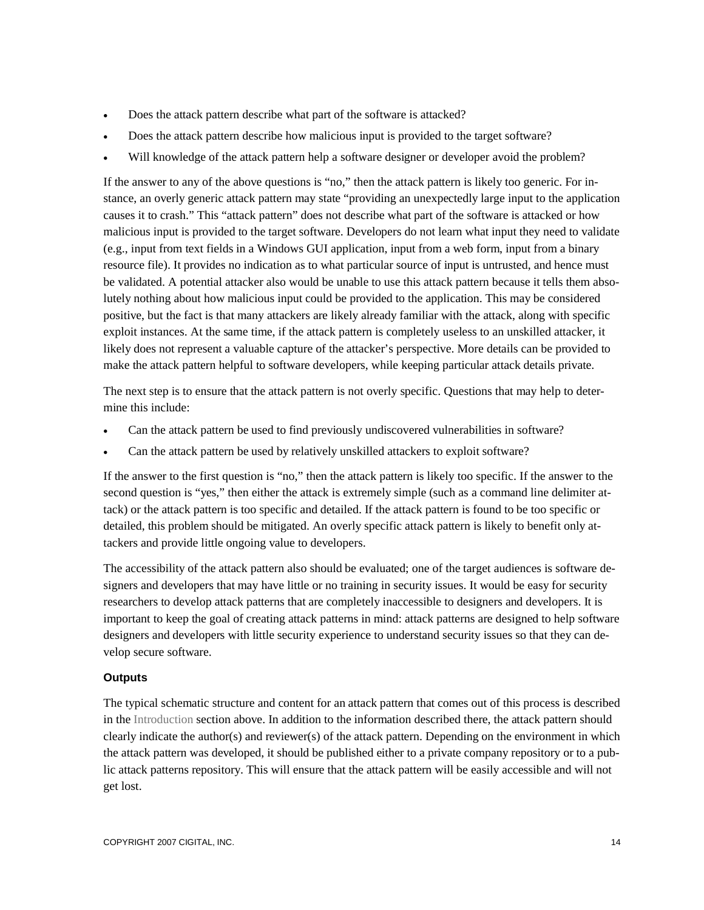- Does the attack pattern describe what part of the software is attacked?
- Does the attack pattern describe how malicious input is provided to the target software?
- Will knowledge of the attack pattern help a software designer or developer avoid the problem?

If the answer to any of the above questions is "no," then the attack pattern is likely too generic. For instance, an overly generic attack pattern may state "providing an unexpectedly large input to the application causes it to crash." This "attack pattern" does not describe what part of the software is attacked or how malicious input is provided to the target software. Developers do not learn what input they need to validate (e.g., input from text fields in a Windows GUI application, input from a web form, input from a binary resource file). It provides no indication as to what particular source of input is untrusted, and hence must be validated. A potential attacker also would be unable to use this attack pattern because it tells them absolutely nothing about how malicious input could be provided to the application. This may be considered positive, but the fact is that many attackers are likely already familiar with the attack, along with specific exploit instances. At the same time, if the attack pattern is completely useless to an unskilled attacker, it likely does not represent a valuable capture of the attacker's perspective. More details can be provided to make the attack pattern helpful to software developers, while keeping particular attack details private.

The next step is to ensure that the attack pattern is not overly specific. Questions that may help to determine this include:

- Can the attack pattern be used to find previously undiscovered vulnerabilities in software?
- Can the attack pattern be used by relatively unskilled attackers to exploit software?

If the answer to the first question is "no," then the attack pattern is likely too specific. If the answer to the second question is "yes," then either the attack is extremely simple (such as a command line delimiter attack) or the attack pattern is too specific and detailed. If the attack pattern is found to be too specific or detailed, this problem should be mitigated. An overly specific attack pattern is likely to benefit only attackers and provide little ongoing value to developers.

The accessibility of the attack pattern also should be evaluated; one of the target audiences is software designers and developers that may have little or no training in security issues. It would be easy for security researchers to develop attack patterns that are completely inaccessible to designers and developers. It is important to keep the goal of creating attack patterns in mind: attack patterns are designed to help software designers and developers with little security experience to understand security issues so that they can develop secure software.

## **Outputs**

The typical schematic structure and content for an attack pattern that comes out of this process is described in the Introduction section above. In addition to the information described there, the attack pattern should clearly indicate the author(s) and reviewer(s) of the attack pattern. Depending on the environment in which the attack pattern was developed, it should be published either to a private company repository or to a public attack patterns repository. This will ensure that the attack pattern will be easily accessible and will not get lost.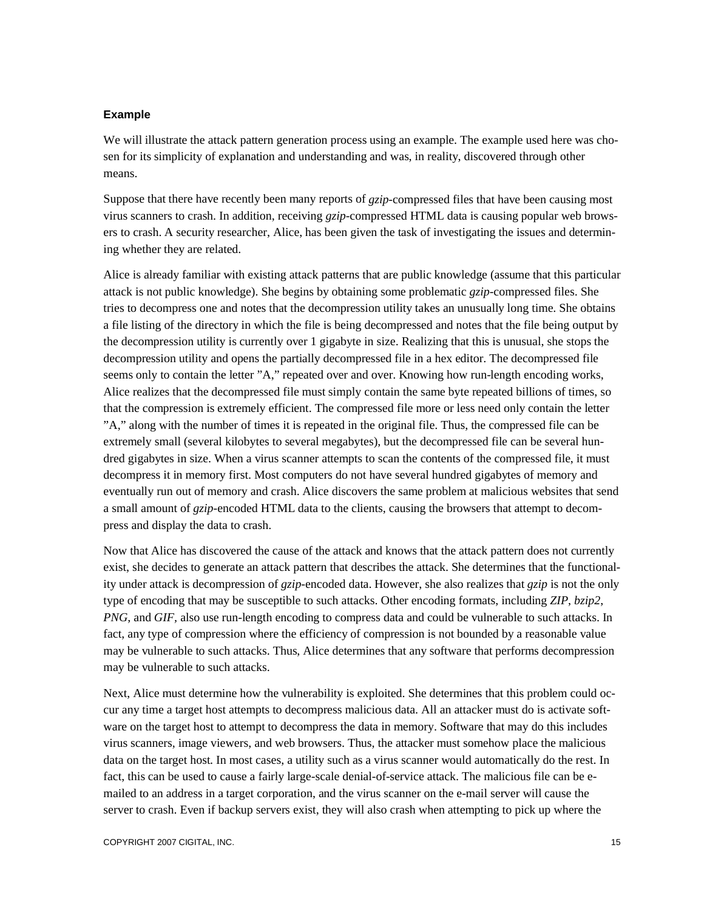#### **Example**

We will illustrate the attack pattern generation process using an example. The example used here was chosen for its simplicity of explanation and understanding and was, in reality, discovered through other means.

Suppose that there have recently been many reports of *gzip*-compressed files that have been causing most virus scanners to crash. In addition, receiving *gzip*-compressed HTML data is causing popular web browsers to crash. A security researcher, Alice, has been given the task of investigating the issues and determining whether they are related.

Alice is already familiar with existing attack patterns that are public knowledge (assume that this particular attack is not public knowledge). She begins by obtaining some problematic *gzip*-compressed files. She tries to decompress one and notes that the decompression utility takes an unusually long time. She obtains a file listing of the directory in which the file is being decompressed and notes that the file being output by the decompression utility is currently over 1 gigabyte in size. Realizing that this is unusual, she stops the decompression utility and opens the partially decompressed file in a hex editor. The decompressed file seems only to contain the letter "A," repeated over and over. Knowing how run-length encoding works, Alice realizes that the decompressed file must simply contain the same byte repeated billions of times, so that the compression is extremely efficient. The compressed file more or less need only contain the letter "A," along with the number of times it is repeated in the original file. Thus, the compressed file can be extremely small (several kilobytes to several megabytes), but the decompressed file can be several hundred gigabytes in size. When a virus scanner attempts to scan the contents of the compressed file, it must decompress it in memory first. Most computers do not have several hundred gigabytes of memory and eventually run out of memory and crash. Alice discovers the same problem at malicious websites that send a small amount of *gzip*-encoded HTML data to the clients, causing the browsers that attempt to decompress and display the data to crash.

Now that Alice has discovered the cause of the attack and knows that the attack pattern does not currently exist, she decides to generate an attack pattern that describes the attack. She determines that the functionality under attack is decompression of *gzip*-encoded data. However, she also realizes that *gzip* is not the only type of encoding that may be susceptible to such attacks. Other encoding formats, including *ZIP*, *bzip2*, *PNG,* and *GIF,* also use run-length encoding to compress data and could be vulnerable to such attacks. In fact, any type of compression where the efficiency of compression is not bounded by a reasonable value may be vulnerable to such attacks. Thus, Alice determines that any software that performs decompression may be vulnerable to such attacks.

Next, Alice must determine how the vulnerability is exploited. She determines that this problem could occur any time a target host attempts to decompress malicious data. All an attacker must do is activate software on the target host to attempt to decompress the data in memory. Software that may do this includes virus scanners, image viewers, and web browsers. Thus, the attacker must somehow place the malicious data on the target host. In most cases, a utility such as a virus scanner would automatically do the rest. In fact, this can be used to cause a fairly large-scale denial-of-service attack. The malicious file can be emailed to an address in a target corporation, and the virus scanner on the e-mail server will cause the server to crash. Even if backup servers exist, they will also crash when attempting to pick up where the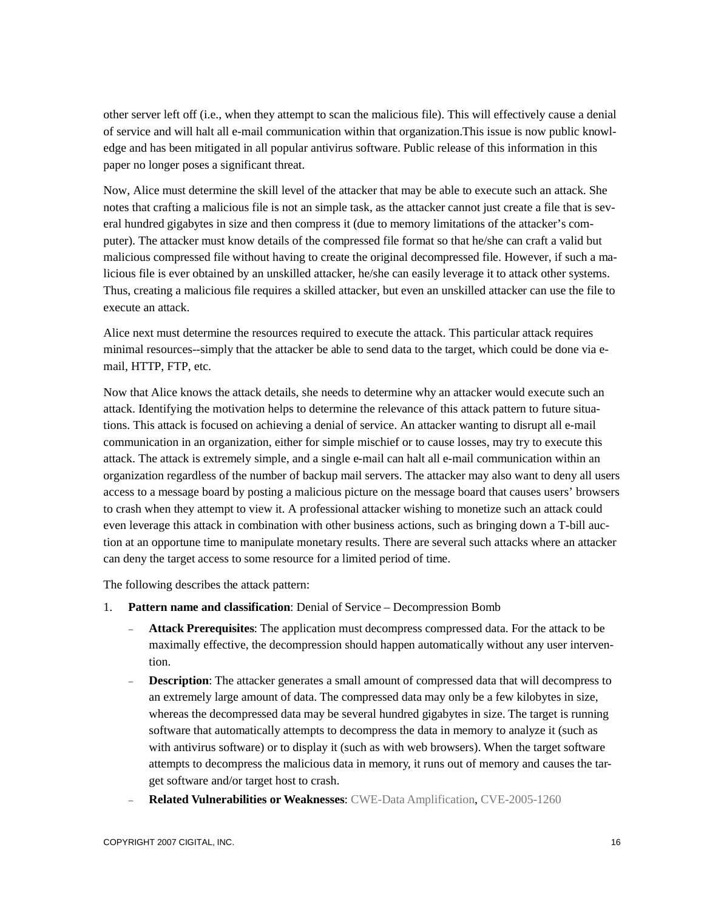other server left off (i.e., when they attempt to scan the malicious file). This will effectively cause a denial of service and will halt all e-mail communication within that organization.This issue is now public knowledge and has been mitigated in all popular antivirus software. Public release of this information in this paper no longer poses a significant threat.

Now, Alice must determine the skill level of the attacker that may be able to execute such an attack. She notes that crafting a malicious file is not an simple task, as the attacker cannot just create a file that is several hundred gigabytes in size and then compress it (due to memory limitations of the attacker's computer). The attacker must know details of the compressed file format so that he/she can craft a valid but malicious compressed file without having to create the original decompressed file. However, if such a malicious file is ever obtained by an unskilled attacker, he/she can easily leverage it to attack other systems. Thus, creating a malicious file requires a skilled attacker, but even an unskilled attacker can use the file to execute an attack.

Alice next must determine the resources required to execute the attack. This particular attack requires minimal resources--simply that the attacker be able to send data to the target, which could be done via email, HTTP, FTP, etc.

Now that Alice knows the attack details, she needs to determine why an attacker would execute such an attack. Identifying the motivation helps to determine the relevance of this attack pattern to future situations. This attack is focused on achieving a denial of service. An attacker wanting to disrupt all e-mail communication in an organization, either for simple mischief or to cause losses, may try to execute this attack. The attack is extremely simple, and a single e-mail can halt all e-mail communication within an organization regardless of the number of backup mail servers. The attacker may also want to deny all users access to a message board by posting a malicious picture on the message board that causes users' browsers to crash when they attempt to view it. A professional attacker wishing to monetize such an attack could even leverage this attack in combination with other business actions, such as bringing down a T-bill auction at an opportune time to manipulate monetary results. There are several such attacks where an attacker can deny the target access to some resource for a limited period of time.

The following describes the attack pattern:

- 1. **Pattern name and classification**: Denial of Service Decompression Bomb
	- **Attack Prerequisites**: The application must decompress compressed data. For the attack to be maximally effective, the decompression should happen automatically without any user intervention.
	- **Description**: The attacker generates a small amount of compressed data that will decompress to an extremely large amount of data. The compressed data may only be a few kilobytes in size, whereas the decompressed data may be several hundred gigabytes in size. The target is running software that automatically attempts to decompress the data in memory to analyze it (such as with antivirus software) or to display it (such as with web browsers). When the target software attempts to decompress the malicious data in memory, it runs out of memory and causes the target software and/or target host to crash.
	- **Related Vulnerabilities or Weaknesses**: CWE-Data Amplification, CVE-2005-1260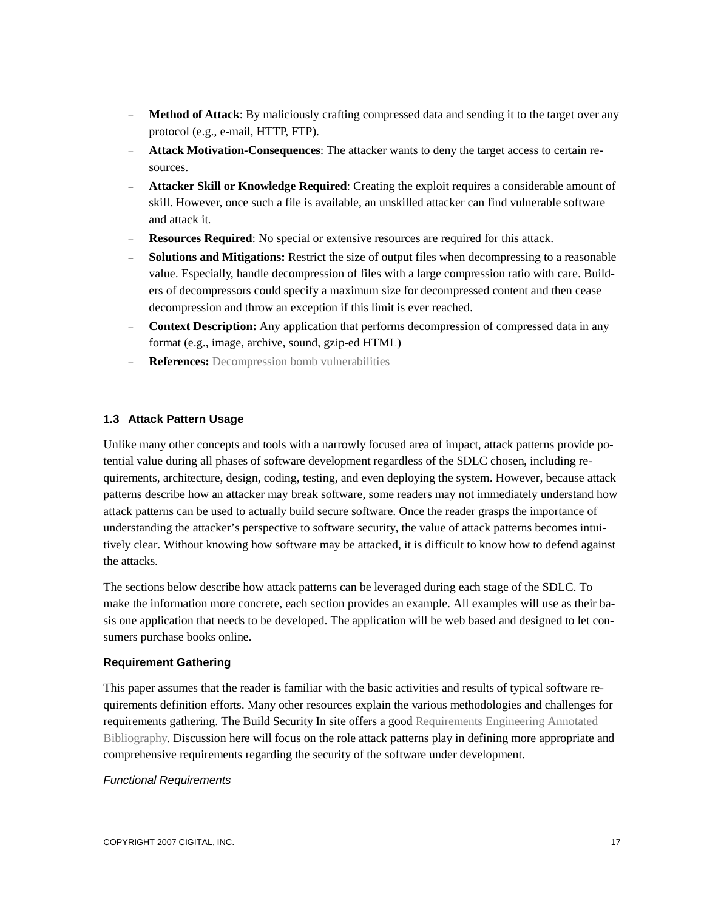- **Method of Attack**: By maliciously crafting compressed data and sending it to the target over any protocol (e.g., e-mail, HTTP, FTP).
- **Attack Motivation-Consequences**: The attacker wants to deny the target access to certain resources.
- **Attacker Skill or Knowledge Required**: Creating the exploit requires a considerable amount of skill. However, once such a file is available, an unskilled attacker can find vulnerable software and attack it.
- **Resources Required**: No special or extensive resources are required for this attack.
- **Solutions and Mitigations:** Restrict the size of output files when decompressing to a reasonable value. Especially, handle decompression of files with a large compression ratio with care. Builders of decompressors could specify a maximum size for decompressed content and then cease decompression and throw an exception if this limit is ever reached.
- **Context Description:** Any application that performs decompression of compressed data in any format (e.g., image, archive, sound, gzip-ed HTML)
- **References:** Decompression bomb vulnerabilities

# **1.3 Attack Pattern Usage**

Unlike many other concepts and tools with a narrowly focused area of impact, attack patterns provide potential value during all phases of software development regardless of the SDLC chosen, including requirements, architecture, design, coding, testing, and even deploying the system. However, because attack patterns describe how an attacker may break software, some readers may not immediately understand how attack patterns can be used to actually build secure software. Once the reader grasps the importance of understanding the attacker's perspective to software security, the value of attack patterns becomes intuitively clear. Without knowing how software may be attacked, it is difficult to know how to defend against the attacks.

The sections below describe how attack patterns can be leveraged during each stage of the SDLC. To make the information more concrete, each section provides an example. All examples will use as their basis one application that needs to be developed. The application will be web based and designed to let consumers purchase books online.

## **Requirement Gathering**

This paper assumes that the reader is familiar with the basic activities and results of typical software requirements definition efforts. Many other resources explain the various methodologies and challenges for requirements gathering. The Build Security In site offers a good Requirements Engineering Annotated Bibliography. Discussion here will focus on the role attack patterns play in defining more appropriate and comprehensive requirements regarding the security of the software under development.

## *Functional Requirements*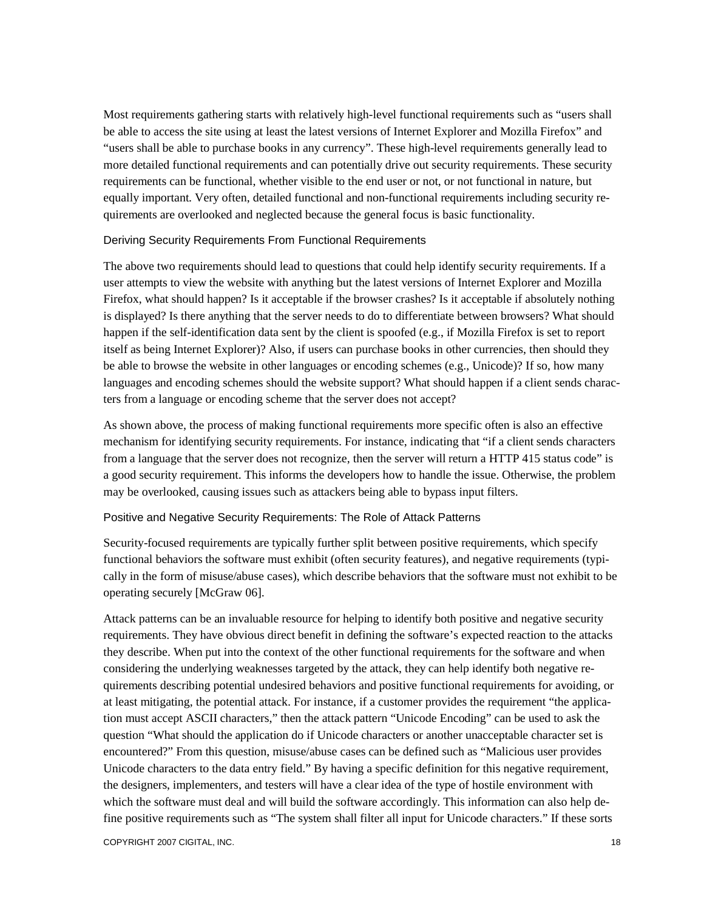Most requirements gathering starts with relatively high-level functional requirements such as "users shall be able to access the site using at least the latest versions of Internet Explorer and Mozilla Firefox" and "users shall be able to purchase books in any currency". These high-level requirements generally lead to more detailed functional requirements and can potentially drive out security requirements. These security requirements can be functional, whether visible to the end user or not, or not functional in nature, but equally important. Very often, detailed functional and non-functional requirements including security requirements are overlooked and neglected because the general focus is basic functionality.

## Deriving Security Requirements From Functional Requirements

The above two requirements should lead to questions that could help identify security requirements. If a user attempts to view the website with anything but the latest versions of Internet Explorer and Mozilla Firefox, what should happen? Is it acceptable if the browser crashes? Is it acceptable if absolutely nothing is displayed? Is there anything that the server needs to do to differentiate between browsers? What should happen if the self-identification data sent by the client is spoofed (e.g., if Mozilla Firefox is set to report itself as being Internet Explorer)? Also, if users can purchase books in other currencies, then should they be able to browse the website in other languages or encoding schemes (e.g., Unicode)? If so, how many languages and encoding schemes should the website support? What should happen if a client sends characters from a language or encoding scheme that the server does not accept?

As shown above, the process of making functional requirements more specific often is also an effective mechanism for identifying security requirements. For instance, indicating that "if a client sends characters from a language that the server does not recognize, then the server will return a HTTP 415 status code" is a good security requirement. This informs the developers how to handle the issue. Otherwise, the problem may be overlooked, causing issues such as attackers being able to bypass input filters.

## Positive and Negative Security Requirements: The Role of Attack Patterns

Security-focused requirements are typically further split between positive requirements, which specify functional behaviors the software must exhibit (often security features), and negative requirements (typically in the form of misuse/abuse cases), which describe behaviors that the software must not exhibit to be operating securely [McGraw 06].

Attack patterns can be an invaluable resource for helping to identify both positive and negative security requirements. They have obvious direct benefit in defining the software's expected reaction to the attacks they describe. When put into the context of the other functional requirements for the software and when considering the underlying weaknesses targeted by the attack, they can help identify both negative requirements describing potential undesired behaviors and positive functional requirements for avoiding, or at least mitigating, the potential attack. For instance, if a customer provides the requirement "the application must accept ASCII characters," then the attack pattern "Unicode Encoding" can be used to ask the question "What should the application do if Unicode characters or another unacceptable character set is encountered?" From this question, misuse/abuse cases can be defined such as "Malicious user provides Unicode characters to the data entry field." By having a specific definition for this negative requirement, the designers, implementers, and testers will have a clear idea of the type of hostile environment with which the software must deal and will build the software accordingly. This information can also help define positive requirements such as "The system shall filter all input for Unicode characters." If these sorts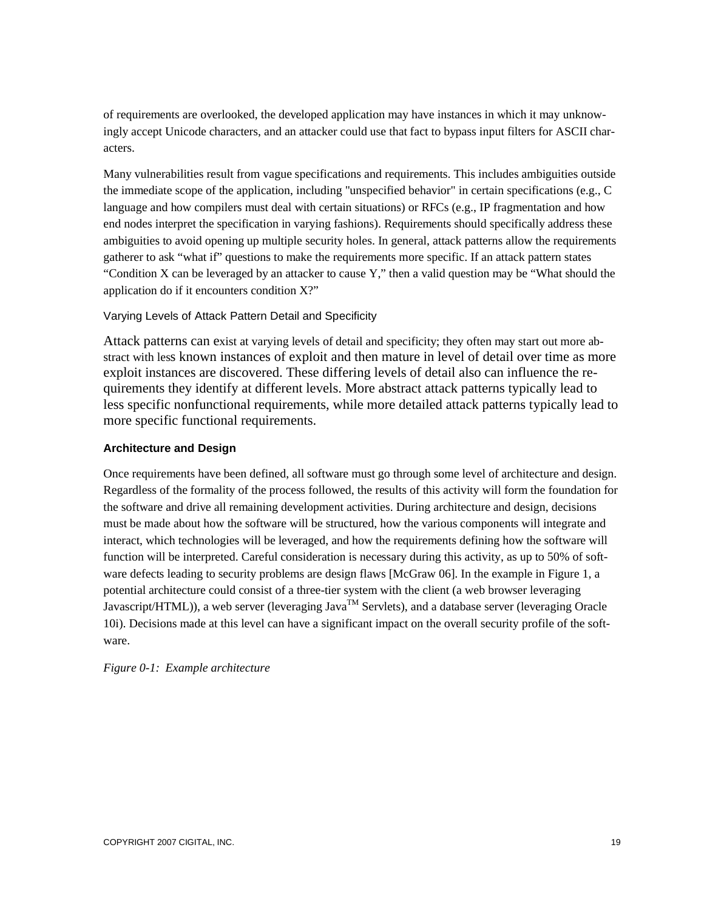of requirements are overlooked, the developed application may have instances in which it may unknowingly accept Unicode characters, and an attacker could use that fact to bypass input filters for ASCII characters.

Many vulnerabilities result from vague specifications and requirements. This includes ambiguities outside the immediate scope of the application, including "unspecified behavior" in certain specifications (e.g., C language and how compilers must deal with certain situations) or RFCs (e.g., IP fragmentation and how end nodes interpret the specification in varying fashions). Requirements should specifically address these ambiguities to avoid opening up multiple security holes. In general, attack patterns allow the requirements gatherer to ask "what if" questions to make the requirements more specific. If an attack pattern states "Condition X can be leveraged by an attacker to cause Y," then a valid question may be "What should the application do if it encounters condition X?"

# Varying Levels of Attack Pattern Detail and Specificity

Attack patterns can exist at varying levels of detail and specificity; they often may start out more abstract with less known instances of exploit and then mature in level of detail over time as more exploit instances are discovered. These differing levels of detail also can influence the requirements they identify at different levels. More abstract attack patterns typically lead to less specific nonfunctional requirements, while more detailed attack patterns typically lead to more specific functional requirements.

# **Architecture and Design**

Once requirements have been defined, all software must go through some level of architecture and design. Regardless of the formality of the process followed, the results of this activity will form the foundation for the software and drive all remaining development activities. During architecture and design, decisions must be made about how the software will be structured, how the various components will integrate and interact, which technologies will be leveraged, and how the requirements defining how the software will function will be interpreted. Careful consideration is necessary during this activity, as up to 50% of software defects leading to security problems are design flaws [McGraw 06]. In the example in Figure 1, a potential architecture could consist of a three-tier system with the client (a web browser leveraging Javascript/HTML)), a web server (leveraging Java<sup>TM</sup> Servlets), and a database server (leveraging Oracle 10i). Decisions made at this level can have a significant impact on the overall security profile of the software.

*Figure 0-1: Example architecture*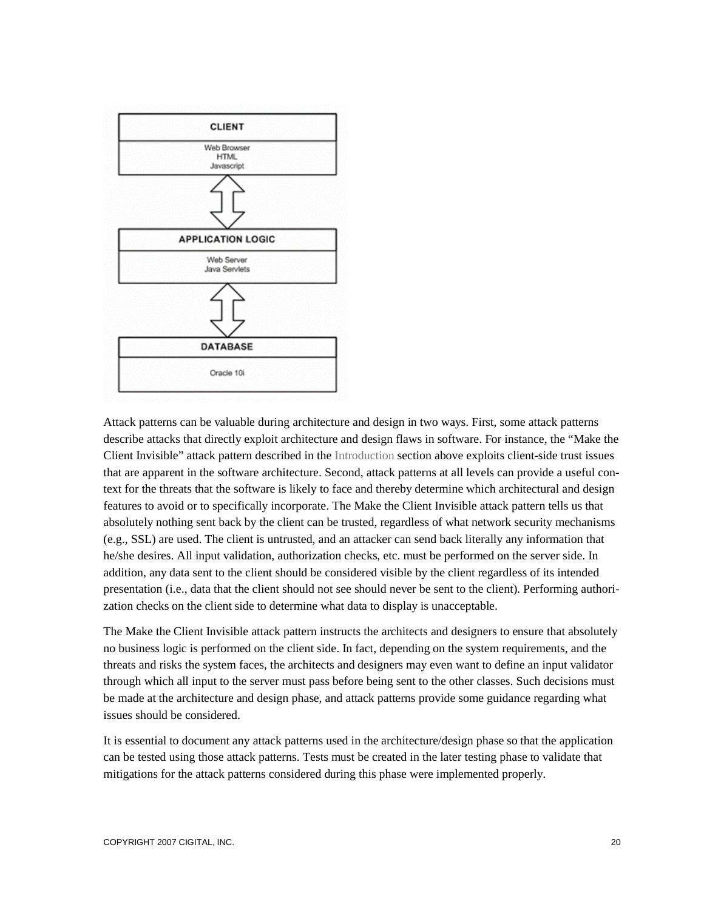

Attack patterns can be valuable during architecture and design in two ways. First, some attack patterns describe attacks that directly exploit architecture and design flaws in software. For instance, the "Make the Client Invisible" attack pattern described in the Introduction section above exploits client-side trust issues that are apparent in the software architecture. Second, attack patterns at all levels can provide a useful context for the threats that the software is likely to face and thereby determine which architectural and design features to avoid or to specifically incorporate. The Make the Client Invisible attack pattern tells us that absolutely nothing sent back by the client can be trusted, regardless of what network security mechanisms (e.g., SSL) are used. The client is untrusted, and an attacker can send back literally any information that he/she desires. All input validation, authorization checks, etc. must be performed on the server side. In addition, any data sent to the client should be considered visible by the client regardless of its intended presentation (i.e., data that the client should not see should never be sent to the client). Performing authorization checks on the client side to determine what data to display is unacceptable.

The Make the Client Invisible attack pattern instructs the architects and designers to ensure that absolutely no business logic is performed on the client side. In fact, depending on the system requirements, and the threats and risks the system faces, the architects and designers may even want to define an input validator through which all input to the server must pass before being sent to the other classes. Such decisions must be made at the architecture and design phase, and attack patterns provide some guidance regarding what issues should be considered.

It is essential to document any attack patterns used in the architecture/design phase so that the application can be tested using those attack patterns. Tests must be created in the later testing phase to validate that mitigations for the attack patterns considered during this phase were implemented properly.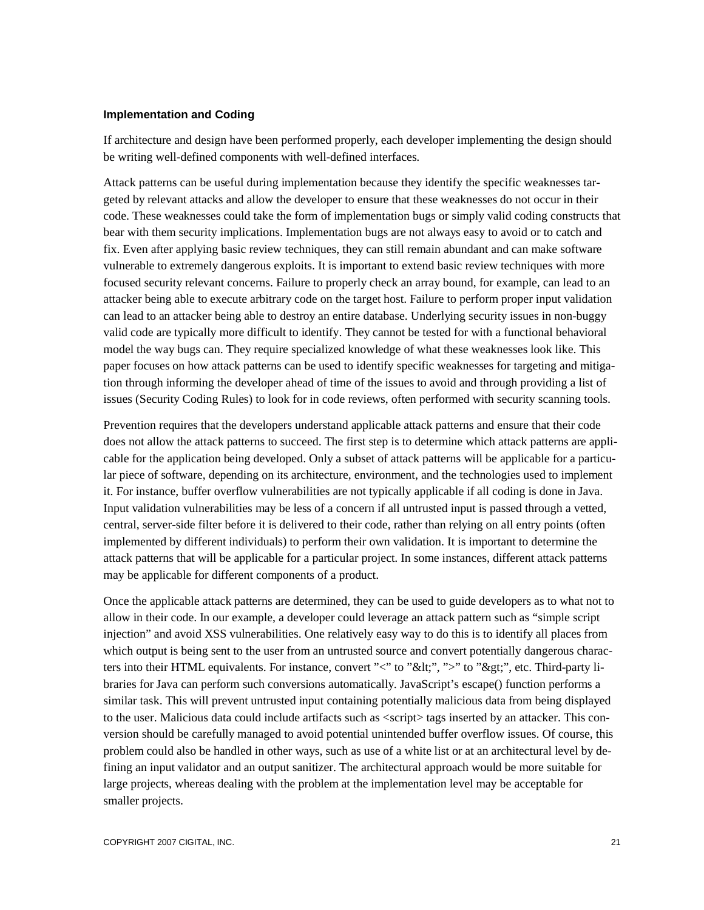#### **Implementation and Coding**

If architecture and design have been performed properly, each developer implementing the design should be writing well-defined components with well-defined interfaces.

Attack patterns can be useful during implementation because they identify the specific weaknesses targeted by relevant attacks and allow the developer to ensure that these weaknesses do not occur in their code. These weaknesses could take the form of implementation bugs or simply valid coding constructs that bear with them security implications. Implementation bugs are not always easy to avoid or to catch and fix. Even after applying basic review techniques, they can still remain abundant and can make software vulnerable to extremely dangerous exploits. It is important to extend basic review techniques with more focused security relevant concerns. Failure to properly check an array bound, for example, can lead to an attacker being able to execute arbitrary code on the target host. Failure to perform proper input validation can lead to an attacker being able to destroy an entire database. Underlying security issues in non-buggy valid code are typically more difficult to identify. They cannot be tested for with a functional behavioral model the way bugs can. They require specialized knowledge of what these weaknesses look like. This paper focuses on how attack patterns can be used to identify specific weaknesses for targeting and mitigation through informing the developer ahead of time of the issues to avoid and through providing a list of issues (Security Coding Rules) to look for in code reviews, often performed with security scanning tools.

Prevention requires that the developers understand applicable attack patterns and ensure that their code does not allow the attack patterns to succeed. The first step is to determine which attack patterns are applicable for the application being developed. Only a subset of attack patterns will be applicable for a particular piece of software, depending on its architecture, environment, and the technologies used to implement it. For instance, buffer overflow vulnerabilities are not typically applicable if all coding is done in Java. Input validation vulnerabilities may be less of a concern if all untrusted input is passed through a vetted, central, server-side filter before it is delivered to their code, rather than relying on all entry points (often implemented by different individuals) to perform their own validation. It is important to determine the attack patterns that will be applicable for a particular project. In some instances, different attack patterns may be applicable for different components of a product.

Once the applicable attack patterns are determined, they can be used to guide developers as to what not to allow in their code. In our example, a developer could leverage an attack pattern such as "simple script injection" and avoid XSS vulnerabilities. One relatively easy way to do this is to identify all places from which output is being sent to the user from an untrusted source and convert potentially dangerous characters into their HTML equivalents. For instance, convert "<" to "&lt;", ">" to "&gt;", etc. Third-party libraries for Java can perform such conversions automatically. JavaScript's escape() function performs a similar task. This will prevent untrusted input containing potentially malicious data from being displayed to the user. Malicious data could include artifacts such as <script> tags inserted by an attacker. This conversion should be carefully managed to avoid potential unintended buffer overflow issues. Of course, this problem could also be handled in other ways, such as use of a white list or at an architectural level by defining an input validator and an output sanitizer. The architectural approach would be more suitable for large projects, whereas dealing with the problem at the implementation level may be acceptable for smaller projects.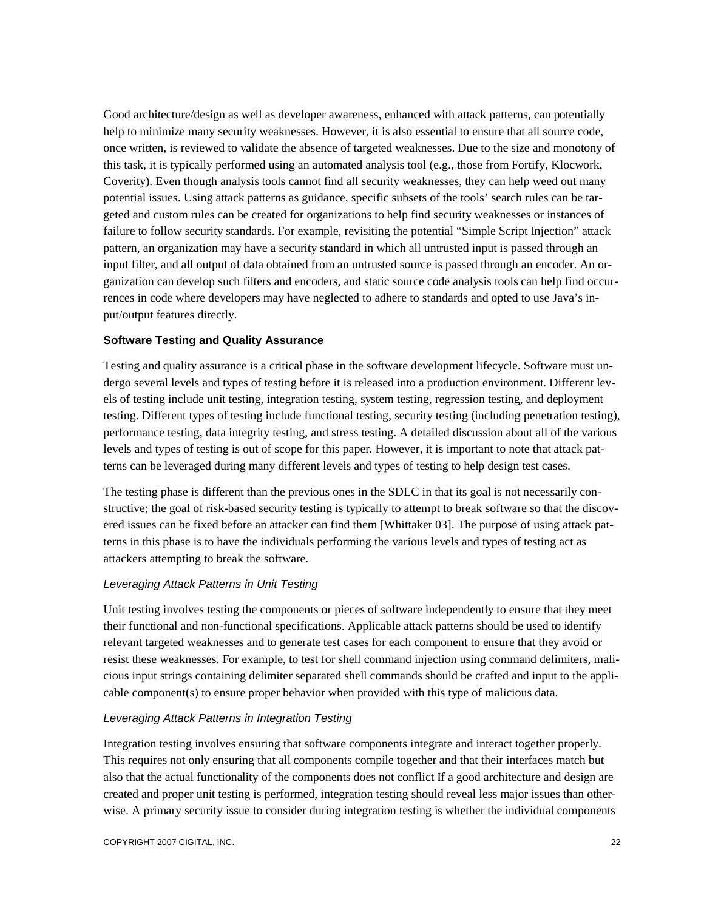Good architecture/design as well as developer awareness, enhanced with attack patterns, can potentially help to minimize many security weaknesses. However, it is also essential to ensure that all source code, once written, is reviewed to validate the absence of targeted weaknesses. Due to the size and monotony of this task, it is typically performed using an automated analysis tool (e.g., those from Fortify, Klocwork, Coverity). Even though analysis tools cannot find all security weaknesses, they can help weed out many potential issues. Using attack patterns as guidance, specific subsets of the tools' search rules can be targeted and custom rules can be created for organizations to help find security weaknesses or instances of failure to follow security standards. For example, revisiting the potential "Simple Script Injection" attack pattern, an organization may have a security standard in which all untrusted input is passed through an input filter, and all output of data obtained from an untrusted source is passed through an encoder. An organization can develop such filters and encoders, and static source code analysis tools can help find occurrences in code where developers may have neglected to adhere to standards and opted to use Java's input/output features directly.

## **Software Testing and Quality Assurance**

Testing and quality assurance is a critical phase in the software development lifecycle. Software must undergo several levels and types of testing before it is released into a production environment. Different levels of testing include unit testing, integration testing, system testing, regression testing, and deployment testing. Different types of testing include functional testing, security testing (including penetration testing), performance testing, data integrity testing, and stress testing. A detailed discussion about all of the various levels and types of testing is out of scope for this paper. However, it is important to note that attack patterns can be leveraged during many different levels and types of testing to help design test cases.

The testing phase is different than the previous ones in the SDLC in that its goal is not necessarily constructive; the goal of risk-based security testing is typically to attempt to break software so that the discovered issues can be fixed before an attacker can find them [Whittaker 03]. The purpose of using attack patterns in this phase is to have the individuals performing the various levels and types of testing act as attackers attempting to break the software.

## *Leveraging Attack Patterns in Unit Testing*

Unit testing involves testing the components or pieces of software independently to ensure that they meet their functional and non-functional specifications. Applicable attack patterns should be used to identify relevant targeted weaknesses and to generate test cases for each component to ensure that they avoid or resist these weaknesses. For example, to test for shell command injection using command delimiters, malicious input strings containing delimiter separated shell commands should be crafted and input to the applicable component(s) to ensure proper behavior when provided with this type of malicious data.

## *Leveraging Attack Patterns in Integration Testing*

Integration testing involves ensuring that software components integrate and interact together properly. This requires not only ensuring that all components compile together and that their interfaces match but also that the actual functionality of the components does not conflict If a good architecture and design are created and proper unit testing is performed, integration testing should reveal less major issues than otherwise. A primary security issue to consider during integration testing is whether the individual components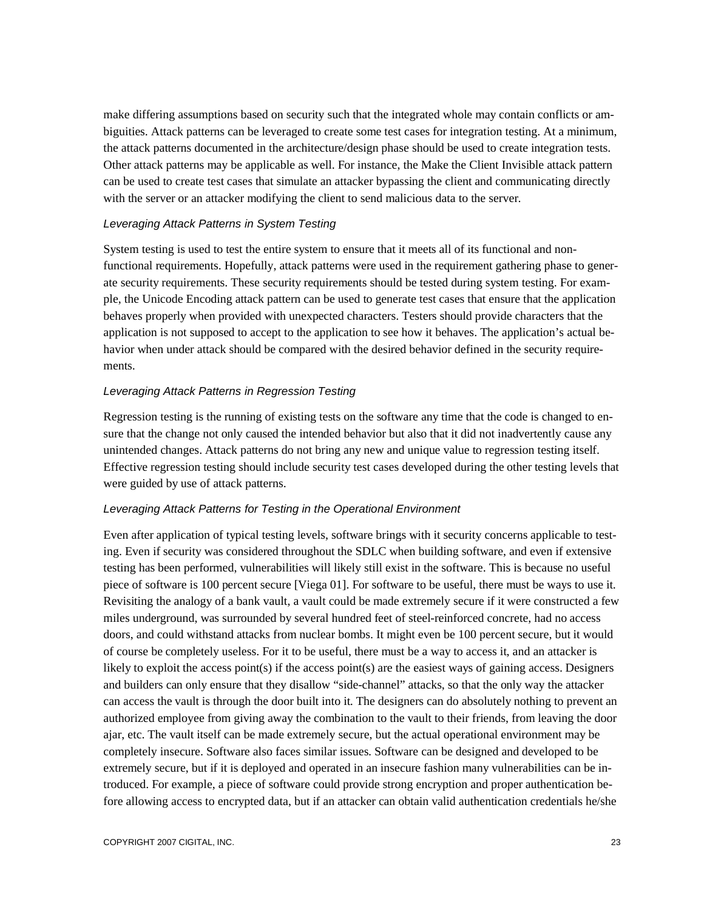make differing assumptions based on security such that the integrated whole may contain conflicts or ambiguities. Attack patterns can be leveraged to create some test cases for integration testing. At a minimum, the attack patterns documented in the architecture/design phase should be used to create integration tests. Other attack patterns may be applicable as well. For instance, the Make the Client Invisible attack pattern can be used to create test cases that simulate an attacker bypassing the client and communicating directly with the server or an attacker modifying the client to send malicious data to the server.

## *Leveraging Attack Patterns in System Testing*

System testing is used to test the entire system to ensure that it meets all of its functional and nonfunctional requirements. Hopefully, attack patterns were used in the requirement gathering phase to generate security requirements. These security requirements should be tested during system testing. For example, the Unicode Encoding attack pattern can be used to generate test cases that ensure that the application behaves properly when provided with unexpected characters. Testers should provide characters that the application is not supposed to accept to the application to see how it behaves. The application's actual behavior when under attack should be compared with the desired behavior defined in the security requirements.

## *Leveraging Attack Patterns in Regression Testing*

Regression testing is the running of existing tests on the software any time that the code is changed to ensure that the change not only caused the intended behavior but also that it did not inadvertently cause any unintended changes. Attack patterns do not bring any new and unique value to regression testing itself. Effective regression testing should include security test cases developed during the other testing levels that were guided by use of attack patterns.

## *Leveraging Attack Patterns for Testing in the Operational Environment*

Even after application of typical testing levels, software brings with it security concerns applicable to testing. Even if security was considered throughout the SDLC when building software, and even if extensive testing has been performed, vulnerabilities will likely still exist in the software. This is because no useful piece of software is 100 percent secure [Viega 01]. For software to be useful, there must be ways to use it. Revisiting the analogy of a bank vault, a vault could be made extremely secure if it were constructed a few miles underground, was surrounded by several hundred feet of steel-reinforced concrete, had no access doors, and could withstand attacks from nuclear bombs. It might even be 100 percent secure, but it would of course be completely useless. For it to be useful, there must be a way to access it, and an attacker is likely to exploit the access point(s) if the access point(s) are the easiest ways of gaining access. Designers and builders can only ensure that they disallow "side-channel" attacks, so that the only way the attacker can access the vault is through the door built into it. The designers can do absolutely nothing to prevent an authorized employee from giving away the combination to the vault to their friends, from leaving the door ajar, etc. The vault itself can be made extremely secure, but the actual operational environment may be completely insecure. Software also faces similar issues. Software can be designed and developed to be extremely secure, but if it is deployed and operated in an insecure fashion many vulnerabilities can be introduced. For example, a piece of software could provide strong encryption and proper authentication before allowing access to encrypted data, but if an attacker can obtain valid authentication credentials he/she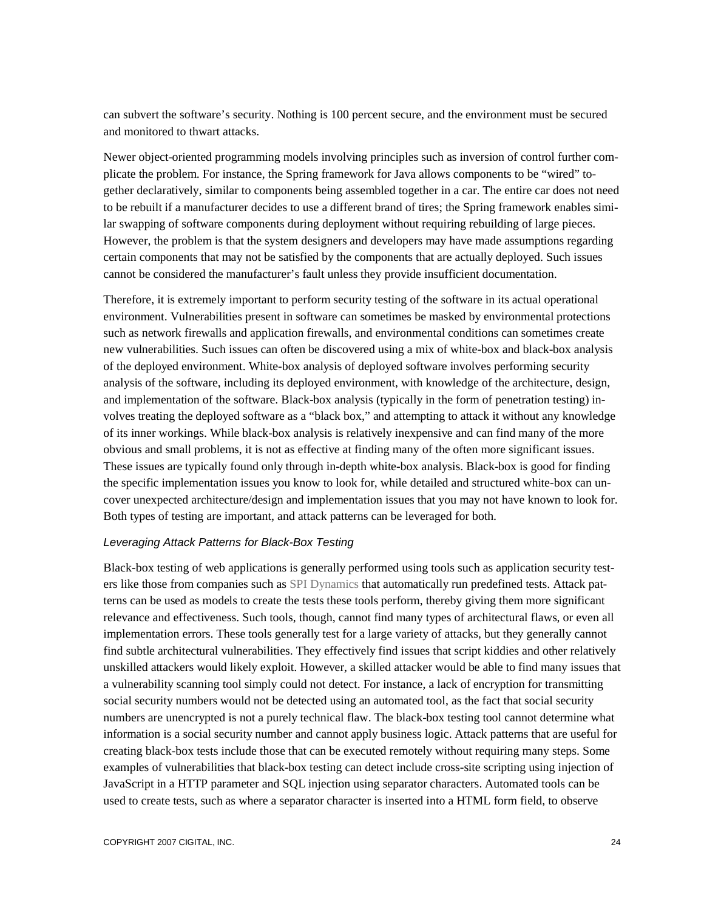can subvert the software's security. Nothing is 100 percent secure, and the environment must be secured and monitored to thwart attacks.

Newer object-oriented programming models involving principles such as inversion of control further complicate the problem. For instance, the Spring framework for Java allows components to be "wired" together declaratively, similar to components being assembled together in a car. The entire car does not need to be rebuilt if a manufacturer decides to use a different brand of tires; the Spring framework enables similar swapping of software components during deployment without requiring rebuilding of large pieces. However, the problem is that the system designers and developers may have made assumptions regarding certain components that may not be satisfied by the components that are actually deployed. Such issues cannot be considered the manufacturer's fault unless they provide insufficient documentation.

Therefore, it is extremely important to perform security testing of the software in its actual operational environment. Vulnerabilities present in software can sometimes be masked by environmental protections such as network firewalls and application firewalls, and environmental conditions can sometimes create new vulnerabilities. Such issues can often be discovered using a mix of white-box and black-box analysis of the deployed environment. White-box analysis of deployed software involves performing security analysis of the software, including its deployed environment, with knowledge of the architecture, design, and implementation of the software. Black-box analysis (typically in the form of penetration testing) involves treating the deployed software as a "black box," and attempting to attack it without any knowledge of its inner workings. While black-box analysis is relatively inexpensive and can find many of the more obvious and small problems, it is not as effective at finding many of the often more significant issues. These issues are typically found only through in-depth white-box analysis. Black-box is good for finding the specific implementation issues you know to look for, while detailed and structured white-box can uncover unexpected architecture/design and implementation issues that you may not have known to look for. Both types of testing are important, and attack patterns can be leveraged for both.

## *Leveraging Attack Patterns for Black-Box Testing*

Black-box testing of web applications is generally performed using tools such as application security testers like those from companies such as SPI Dynamics that automatically run predefined tests. Attack patterns can be used as models to create the tests these tools perform, thereby giving them more significant relevance and effectiveness. Such tools, though, cannot find many types of architectural flaws, or even all implementation errors. These tools generally test for a large variety of attacks, but they generally cannot find subtle architectural vulnerabilities. They effectively find issues that script kiddies and other relatively unskilled attackers would likely exploit. However, a skilled attacker would be able to find many issues that a vulnerability scanning tool simply could not detect. For instance, a lack of encryption for transmitting social security numbers would not be detected using an automated tool, as the fact that social security numbers are unencrypted is not a purely technical flaw. The black-box testing tool cannot determine what information is a social security number and cannot apply business logic. Attack patterns that are useful for creating black-box tests include those that can be executed remotely without requiring many steps. Some examples of vulnerabilities that black-box testing can detect include cross-site scripting using injection of JavaScript in a HTTP parameter and SQL injection using separator characters. Automated tools can be used to create tests, such as where a separator character is inserted into a HTML form field, to observe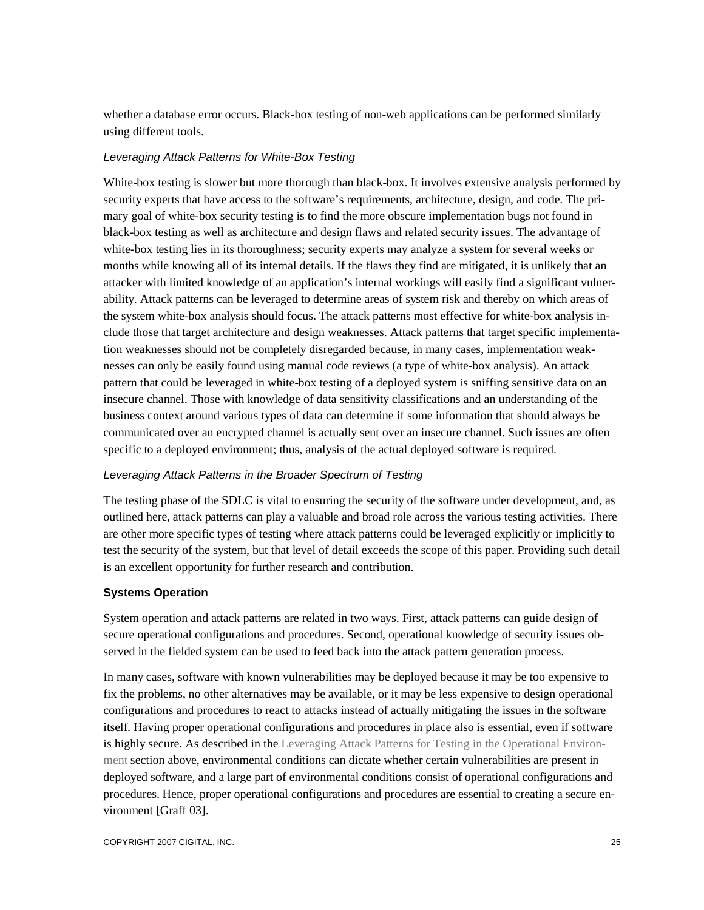whether a database error occurs. Black-box testing of non-web applications can be performed similarly using different tools.

#### *Leveraging Attack Patterns for White-Box Testing*

White-box testing is slower but more thorough than black-box. It involves extensive analysis performed by security experts that have access to the software's requirements, architecture, design, and code. The primary goal of white-box security testing is to find the more obscure implementation bugs not found in black-box testing as well as architecture and design flaws and related security issues. The advantage of white-box testing lies in its thoroughness; security experts may analyze a system for several weeks or months while knowing all of its internal details. If the flaws they find are mitigated, it is unlikely that an attacker with limited knowledge of an application's internal workings will easily find a significant vulnerability. Attack patterns can be leveraged to determine areas of system risk and thereby on which areas of the system white-box analysis should focus. The attack patterns most effective for white-box analysis include those that target architecture and design weaknesses. Attack patterns that target specific implementation weaknesses should not be completely disregarded because, in many cases, implementation weaknesses can only be easily found using manual code reviews (a type of white-box analysis). An attack pattern that could be leveraged in white-box testing of a deployed system is sniffing sensitive data on an insecure channel. Those with knowledge of data sensitivity classifications and an understanding of the business context around various types of data can determine if some information that should always be communicated over an encrypted channel is actually sent over an insecure channel. Such issues are often specific to a deployed environment; thus, analysis of the actual deployed software is required.

## *Leveraging Attack Patterns in the Broader Spectrum of Testing*

The testing phase of the SDLC is vital to ensuring the security of the software under development, and, as outlined here, attack patterns can play a valuable and broad role across the various testing activities. There are other more specific types of testing where attack patterns could be leveraged explicitly or implicitly to test the security of the system, but that level of detail exceeds the scope of this paper. Providing such detail is an excellent opportunity for further research and contribution.

#### **Systems Operation**

System operation and attack patterns are related in two ways. First, attack patterns can guide design of secure operational configurations and procedures. Second, operational knowledge of security issues observed in the fielded system can be used to feed back into the attack pattern generation process.

In many cases, software with known vulnerabilities may be deployed because it may be too expensive to fix the problems, no other alternatives may be available, or it may be less expensive to design operational configurations and procedures to react to attacks instead of actually mitigating the issues in the software itself. Having proper operational configurations and procedures in place also is essential, even if software is highly secure. As described in the Leveraging Attack Patterns for Testing in the Operational Environment section above, environmental conditions can dictate whether certain vulnerabilities are present in deployed software, and a large part of environmental conditions consist of operational configurations and procedures. Hence, proper operational configurations and procedures are essential to creating a secure environment [Graff 03].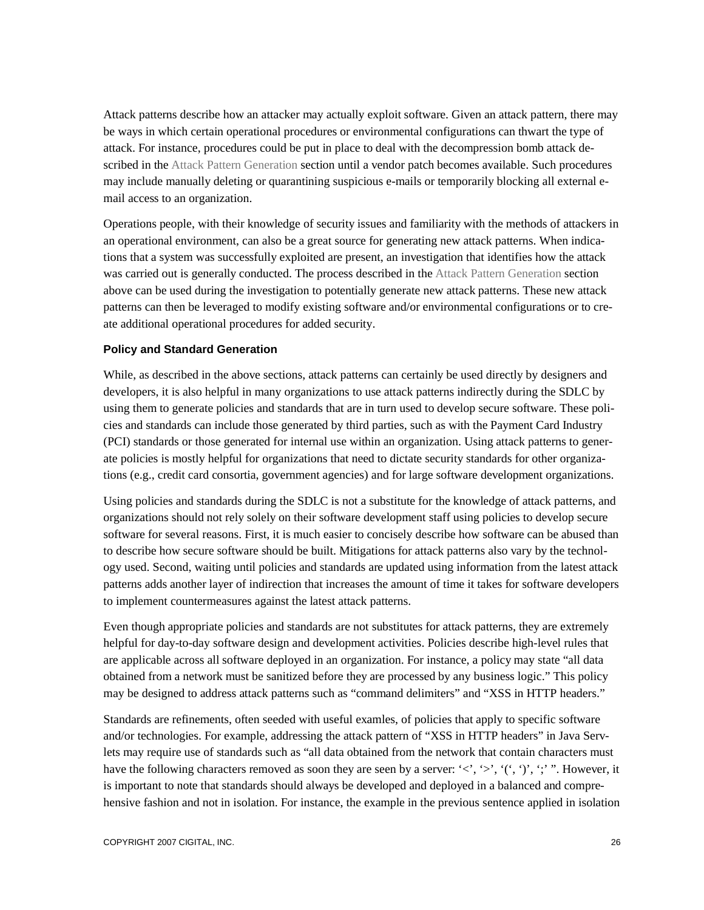Attack patterns describe how an attacker may actually exploit software. Given an attack pattern, there may be ways in which certain operational procedures or environmental configurations can thwart the type of attack. For instance, procedures could be put in place to deal with the decompression bomb attack described in the Attack Pattern Generation section until a vendor patch becomes available. Such procedures may include manually deleting or quarantining suspicious e-mails or temporarily blocking all external email access to an organization.

Operations people, with their knowledge of security issues and familiarity with the methods of attackers in an operational environment, can also be a great source for generating new attack patterns. When indications that a system was successfully exploited are present, an investigation that identifies how the attack was carried out is generally conducted. The process described in the Attack Pattern Generation section above can be used during the investigation to potentially generate new attack patterns. These new attack patterns can then be leveraged to modify existing software and/or environmental configurations or to create additional operational procedures for added security.

## **Policy and Standard Generation**

While, as described in the above sections, attack patterns can certainly be used directly by designers and developers, it is also helpful in many organizations to use attack patterns indirectly during the SDLC by using them to generate policies and standards that are in turn used to develop secure software. These policies and standards can include those generated by third parties, such as with the Payment Card Industry (PCI) standards or those generated for internal use within an organization. Using attack patterns to generate policies is mostly helpful for organizations that need to dictate security standards for other organizations (e.g., credit card consortia, government agencies) and for large software development organizations.

Using policies and standards during the SDLC is not a substitute for the knowledge of attack patterns, and organizations should not rely solely on their software development staff using policies to develop secure software for several reasons. First, it is much easier to concisely describe how software can be abused than to describe how secure software should be built. Mitigations for attack patterns also vary by the technology used. Second, waiting until policies and standards are updated using information from the latest attack patterns adds another layer of indirection that increases the amount of time it takes for software developers to implement countermeasures against the latest attack patterns.

Even though appropriate policies and standards are not substitutes for attack patterns, they are extremely helpful for day-to-day software design and development activities. Policies describe high-level rules that are applicable across all software deployed in an organization. For instance, a policy may state "all data obtained from a network must be sanitized before they are processed by any business logic." This policy may be designed to address attack patterns such as "command delimiters" and "XSS in HTTP headers."

Standards are refinements, often seeded with useful examles, of policies that apply to specific software and/or technologies. For example, addressing the attack pattern of "XSS in HTTP headers" in Java Servlets may require use of standards such as "all data obtained from the network that contain characters must have the following characters removed as soon they are seen by a server: ' $\langle \cdot, \cdot \rangle$ ', ','',''.',''. However, it is important to note that standards should always be developed and deployed in a balanced and comprehensive fashion and not in isolation. For instance, the example in the previous sentence applied in isolation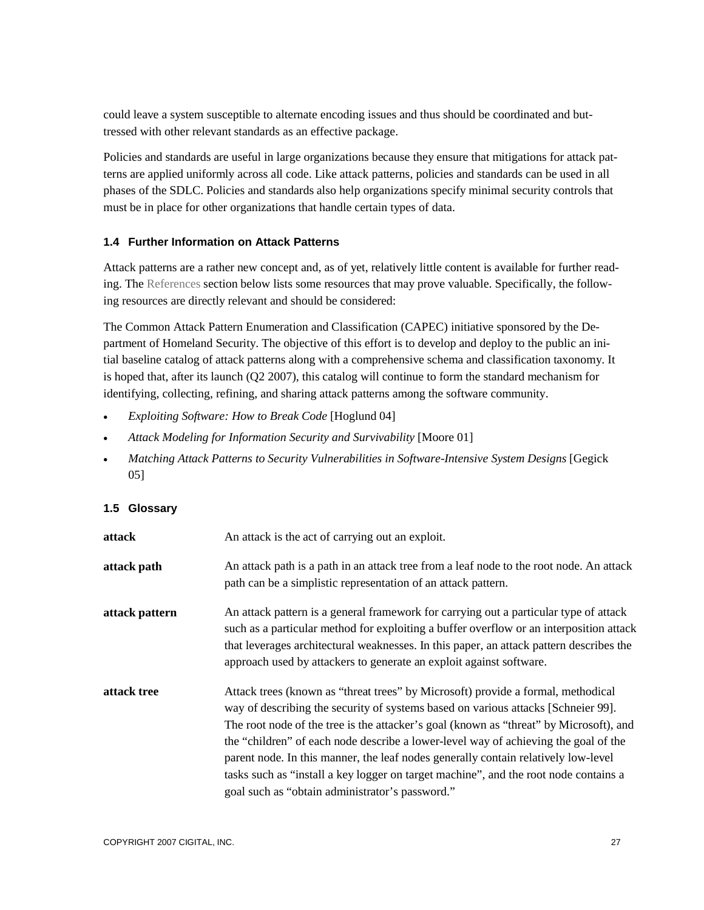could leave a system susceptible to alternate encoding issues and thus should be coordinated and buttressed with other relevant standards as an effective package.

Policies and standards are useful in large organizations because they ensure that mitigations for attack patterns are applied uniformly across all code. Like attack patterns, policies and standards can be used in all phases of the SDLC. Policies and standards also help organizations specify minimal security controls that must be in place for other organizations that handle certain types of data.

## **1.4 Further Information on Attack Patterns**

Attack patterns are a rather new concept and, as of yet, relatively little content is available for further reading. The References section below lists some resources that may prove valuable. Specifically, the following resources are directly relevant and should be considered:

The Common Attack Pattern Enumeration and Classification (CAPEC) initiative sponsored by the Department of Homeland Security. The objective of this effort is to develop and deploy to the public an initial baseline catalog of attack patterns along with a comprehensive schema and classification taxonomy. It is hoped that, after its launch (Q2 2007), this catalog will continue to form the standard mechanism for identifying, collecting, refining, and sharing attack patterns among the software community.

- *Exploiting Software: How to Break Code* [Hoglund 04]
- Attack Modeling for Information Security and Survivability [Moore 01]
- *Matching Attack Patterns to Security Vulnerabilities in Software-Intensive System Designs* [Gegick 05]

## **1.5 Glossary**

| attack         | An attack is the act of carrying out an exploit.                                                                                                                                                                                                                                                                                                                                                                                                                                                                                                                                        |
|----------------|-----------------------------------------------------------------------------------------------------------------------------------------------------------------------------------------------------------------------------------------------------------------------------------------------------------------------------------------------------------------------------------------------------------------------------------------------------------------------------------------------------------------------------------------------------------------------------------------|
| attack path    | An attack path is a path in an attack tree from a leaf node to the root node. An attack<br>path can be a simplistic representation of an attack pattern.                                                                                                                                                                                                                                                                                                                                                                                                                                |
| attack pattern | An attack pattern is a general framework for carrying out a particular type of attack<br>such as a particular method for exploiting a buffer overflow or an interposition attack<br>that leverages architectural weaknesses. In this paper, an attack pattern describes the<br>approach used by attackers to generate an exploit against software.                                                                                                                                                                                                                                      |
| attack tree    | Attack trees (known as "threat trees" by Microsoft) provide a formal, methodical<br>way of describing the security of systems based on various attacks [Schneier 99].<br>The root node of the tree is the attacker's goal (known as "threat" by Microsoft), and<br>the "children" of each node describe a lower-level way of achieving the goal of the<br>parent node. In this manner, the leaf nodes generally contain relatively low-level<br>tasks such as "install a key logger on target machine", and the root node contains a<br>goal such as "obtain administrator's password." |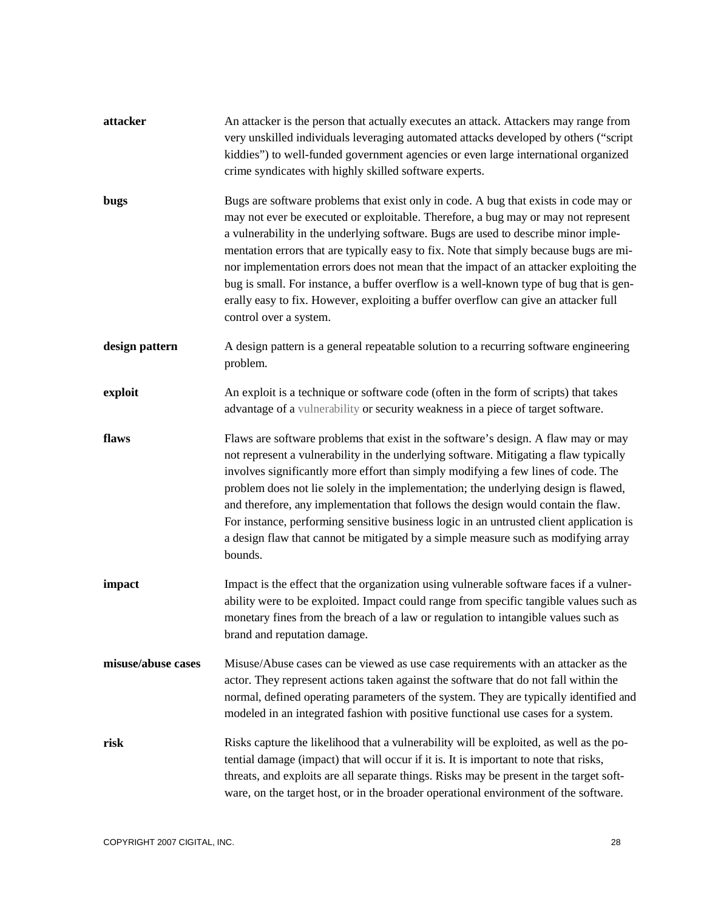| attacker           | An attacker is the person that actually executes an attack. Attackers may range from<br>very unskilled individuals leveraging automated attacks developed by others ("script<br>kiddies") to well-funded government agencies or even large international organized<br>crime syndicates with highly skilled software experts.                                                                                                                                                                                                                                                                                                                                   |
|--------------------|----------------------------------------------------------------------------------------------------------------------------------------------------------------------------------------------------------------------------------------------------------------------------------------------------------------------------------------------------------------------------------------------------------------------------------------------------------------------------------------------------------------------------------------------------------------------------------------------------------------------------------------------------------------|
| bugs               | Bugs are software problems that exist only in code. A bug that exists in code may or<br>may not ever be executed or exploitable. Therefore, a bug may or may not represent<br>a vulnerability in the underlying software. Bugs are used to describe minor imple-<br>mentation errors that are typically easy to fix. Note that simply because bugs are mi-<br>nor implementation errors does not mean that the impact of an attacker exploiting the<br>bug is small. For instance, a buffer overflow is a well-known type of bug that is gen-<br>erally easy to fix. However, exploiting a buffer overflow can give an attacker full<br>control over a system. |
| design pattern     | A design pattern is a general repeatable solution to a recurring software engineering<br>problem.                                                                                                                                                                                                                                                                                                                                                                                                                                                                                                                                                              |
| exploit            | An exploit is a technique or software code (often in the form of scripts) that takes<br>advantage of a vulnerability or security weakness in a piece of target software.                                                                                                                                                                                                                                                                                                                                                                                                                                                                                       |
| flaws              | Flaws are software problems that exist in the software's design. A flaw may or may<br>not represent a vulnerability in the underlying software. Mitigating a flaw typically<br>involves significantly more effort than simply modifying a few lines of code. The<br>problem does not lie solely in the implementation; the underlying design is flawed,<br>and therefore, any implementation that follows the design would contain the flaw.<br>For instance, performing sensitive business logic in an untrusted client application is<br>a design flaw that cannot be mitigated by a simple measure such as modifying array<br>bounds.                       |
| impact             | Impact is the effect that the organization using vulnerable software faces if a vulner-<br>ability were to be exploited. Impact could range from specific tangible values such as<br>monetary fines from the breach of a law or regulation to intangible values such as<br>brand and reputation damage.                                                                                                                                                                                                                                                                                                                                                        |
| misuse/abuse cases | Misuse/Abuse cases can be viewed as use case requirements with an attacker as the<br>actor. They represent actions taken against the software that do not fall within the<br>normal, defined operating parameters of the system. They are typically identified and<br>modeled in an integrated fashion with positive functional use cases for a system.                                                                                                                                                                                                                                                                                                        |
| risk               | Risks capture the likelihood that a vulnerability will be exploited, as well as the po-<br>tential damage (impact) that will occur if it is. It is important to note that risks,<br>threats, and exploits are all separate things. Risks may be present in the target soft-<br>ware, on the target host, or in the broader operational environment of the software.                                                                                                                                                                                                                                                                                            |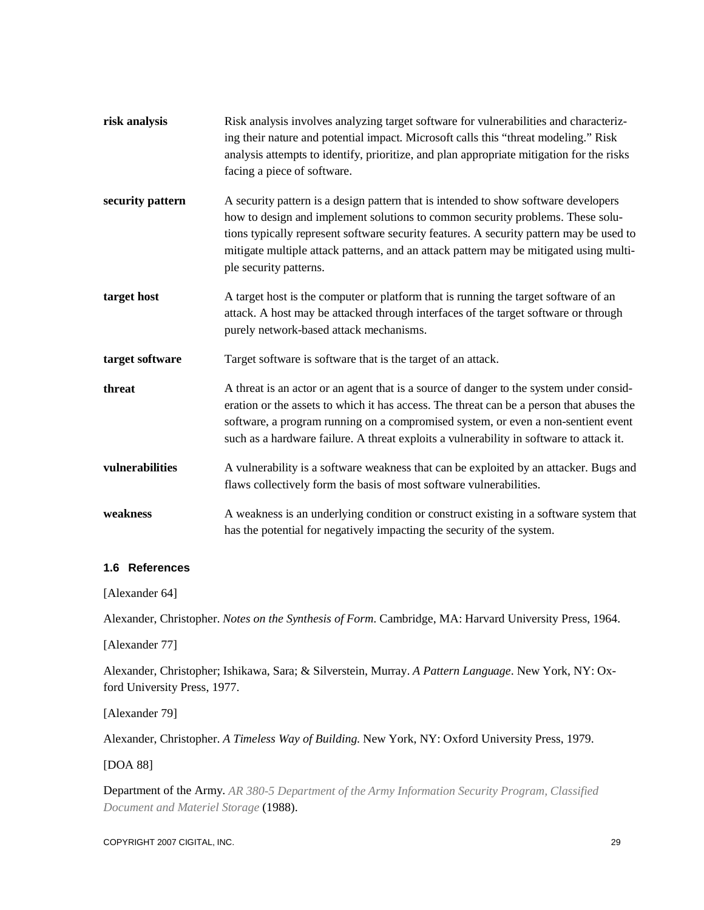| risk analysis    | Risk analysis involves analyzing target software for vulnerabilities and characteriz-<br>ing their nature and potential impact. Microsoft calls this "threat modeling." Risk<br>analysis attempts to identify, prioritize, and plan appropriate mitigation for the risks<br>facing a piece of software.                                                                              |
|------------------|--------------------------------------------------------------------------------------------------------------------------------------------------------------------------------------------------------------------------------------------------------------------------------------------------------------------------------------------------------------------------------------|
| security pattern | A security pattern is a design pattern that is intended to show software developers<br>how to design and implement solutions to common security problems. These solu-<br>tions typically represent software security features. A security pattern may be used to<br>mitigate multiple attack patterns, and an attack pattern may be mitigated using multi-<br>ple security patterns. |
| target host      | A target host is the computer or platform that is running the target software of an<br>attack. A host may be attacked through interfaces of the target software or through<br>purely network-based attack mechanisms.                                                                                                                                                                |
| target software  | Target software is software that is the target of an attack.                                                                                                                                                                                                                                                                                                                         |
| threat           | A threat is an actor or an agent that is a source of danger to the system under consid-<br>eration or the assets to which it has access. The threat can be a person that abuses the<br>software, a program running on a compromised system, or even a non-sentient event<br>such as a hardware failure. A threat exploits a vulnerability in software to attack it.                  |
| vulnerabilities  | A vulnerability is a software weakness that can be exploited by an attacker. Bugs and<br>flaws collectively form the basis of most software vulnerabilities.                                                                                                                                                                                                                         |
| weakness         | A weakness is an underlying condition or construct existing in a software system that<br>has the potential for negatively impacting the security of the system.                                                                                                                                                                                                                      |

## **1.6 References**

[Alexander 64]

Alexander, Christopher. *Notes on the Synthesis of Form*. Cambridge, MA: Harvard University Press, 1964.

[Alexander 77]

Alexander, Christopher; Ishikawa, Sara; & Silverstein, Murray. *A Pattern Language*. New York, NY: Oxford University Press, 1977.

[Alexander 79]

Alexander, Christopher. *A Timeless Way of Building*. New York, NY: Oxford University Press, 1979.

[DOA 88]

Department of the Army. *AR 380-5 Department of the Army Information Security Program, Classified Document and Materiel Storage* (1988).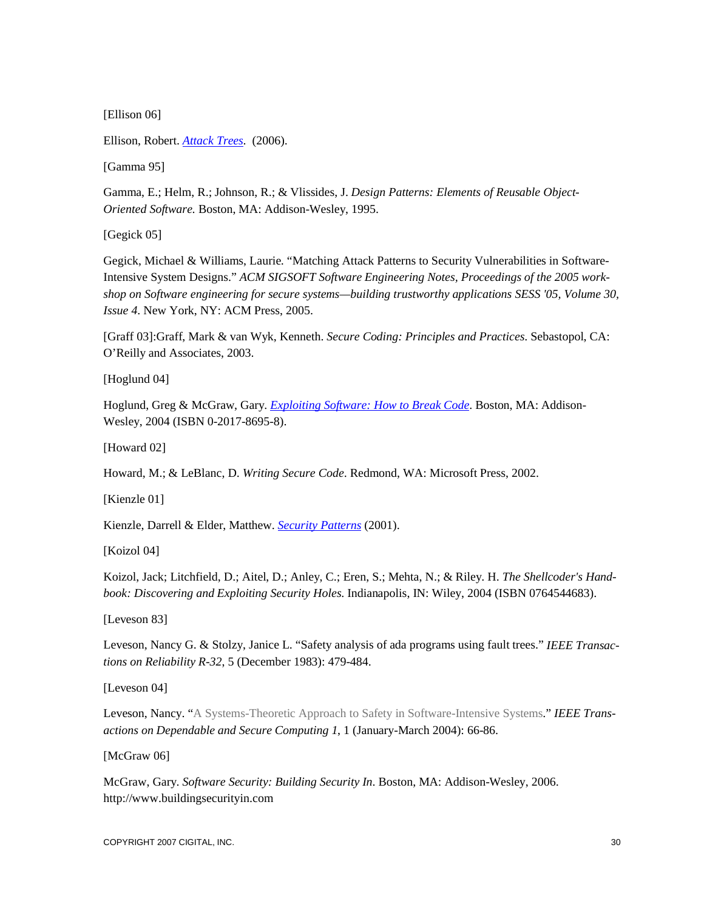[Ellison 06]

Ellison, Robert. *Attack Trees*. (2006).

[Gamma 95]

Gamma, E.; Helm, R.; Johnson, R.; & Vlissides, J. *Design Patterns: Elements of Reusable Object-Oriented Software.* Boston, MA: Addison-Wesley, 1995.

[Gegick 05]

Gegick, Michael & Williams, Laurie. "Matching Attack Patterns to Security Vulnerabilities in Software-Intensive System Designs." *ACM SIGSOFT Software Engineering Notes, Proceedings of the 2005 workshop on Software engineering for secure systems—building trustworthy applications SESS '05, Volume 30, Issue 4*. New York, NY: ACM Press, 2005.

[Graff 03]:Graff, Mark & van Wyk, Kenneth. *Secure Coding: Principles and Practices*. Sebastopol, CA: O'Reilly and Associates, 2003.

[Hoglund 04]

Hoglund, Greg & McGraw, Gary. *Exploiting Software: How to Break Code*. Boston, MA: Addison-Wesley, 2004 (ISBN 0-2017-8695-8).

[Howard 02]

Howard, M.; & LeBlanc, D. *Writing Secure Code*. Redmond, WA: Microsoft Press, 2002.

[Kienzle 01]

Kienzle, Darrell & Elder, Matthew. *Security Patterns* (2001).

[Koizol 04]

Koizol, Jack; Litchfield, D.; Aitel, D.; Anley, C.; Eren, S.; Mehta, N.; & Riley. H. *The Shellcoder's Handbook: Discovering and Exploiting Security Holes*. Indianapolis, IN: Wiley, 2004 (ISBN 0764544683).

[Leveson 83]

Leveson, Nancy G. & Stolzy, Janice L. "Safety analysis of ada programs using fault trees." *IEEE Transactions on Reliability R-32*, 5 (December 1983): 479-484.

[Leveson 04]

Leveson, Nancy. "A Systems-Theoretic Approach to Safety in Software-Intensive Systems." *IEEE Transactions on Dependable and Secure Computing 1*, 1 (January-March 2004): 66-86.

[McGraw 06]

McGraw, Gary. *Software Security: Building Security In*. Boston, MA: Addison-Wesley, 2006. http://www.buildingsecurityin.com